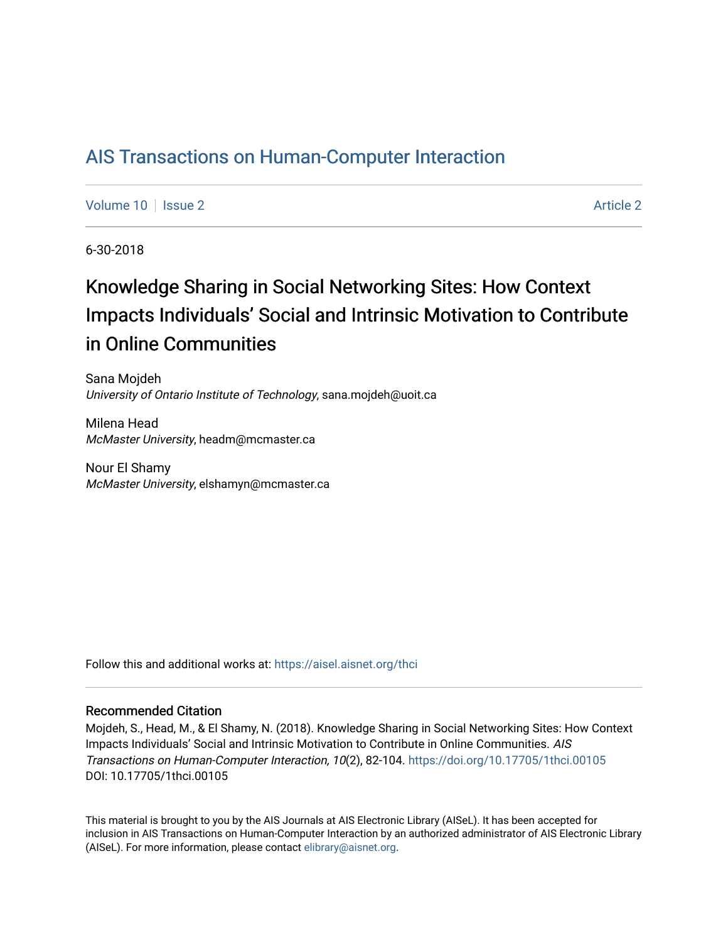## [AIS Transactions on Human-Computer Interaction](https://aisel.aisnet.org/thci)

[Volume 10](https://aisel.aisnet.org/thci/vol10) | [Issue 2](https://aisel.aisnet.org/thci/vol10/iss2) Article 2

6-30-2018

# Knowledge Sharing in Social Networking Sites: How Context Impacts Individuals' Social and Intrinsic Motivation to Contribute in Online Communities

Sana Mojdeh University of Ontario Institute of Technology, sana.mojdeh@uoit.ca

Milena Head McMaster University, headm@mcmaster.ca

Nour El Shamy McMaster University, elshamyn@mcmaster.ca

Follow this and additional works at: [https://aisel.aisnet.org/thci](https://aisel.aisnet.org/thci?utm_source=aisel.aisnet.org%2Fthci%2Fvol10%2Fiss2%2F2&utm_medium=PDF&utm_campaign=PDFCoverPages) 

#### Recommended Citation

Mojdeh, S., Head, M., & El Shamy, N. (2018). Knowledge Sharing in Social Networking Sites: How Context Impacts Individuals' Social and Intrinsic Motivation to Contribute in Online Communities. AIS Transactions on Human-Computer Interaction, 10(2), 82-104. <https://doi.org/10.17705/1thci.00105> DOI: 10.17705/1thci.00105

This material is brought to you by the AIS Journals at AIS Electronic Library (AISeL). It has been accepted for inclusion in AIS Transactions on Human-Computer Interaction by an authorized administrator of AIS Electronic Library (AISeL). For more information, please contact [elibrary@aisnet.org](mailto:elibrary@aisnet.org%3E).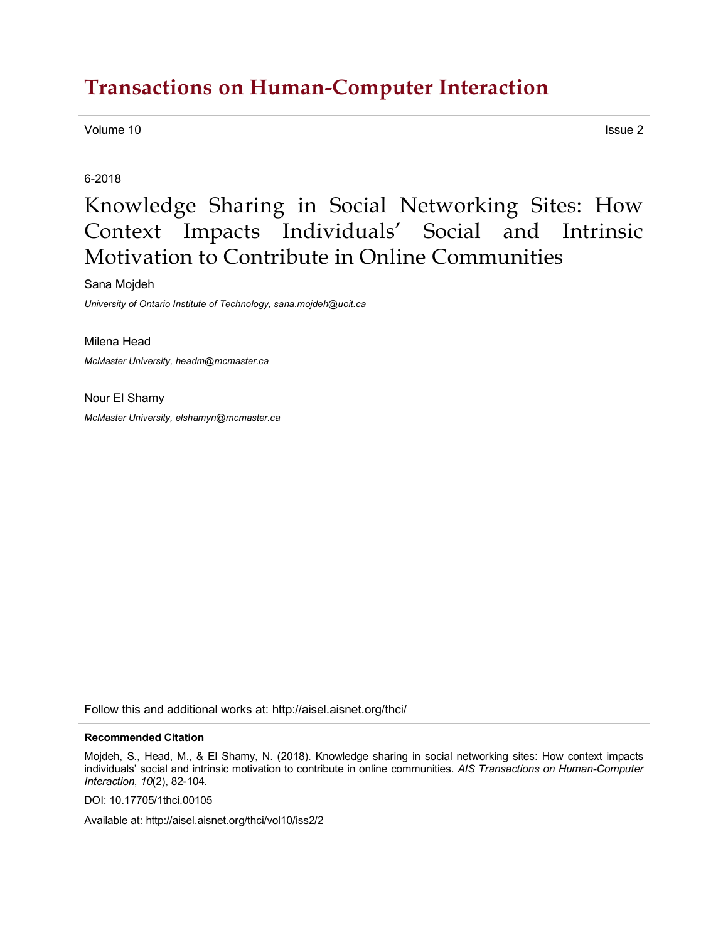## **Transactions on Human-Computer Interaction**

Volume 10 Issue 2

6-2018

Knowledge Sharing in Social Networking Sites: How Context Impacts Individuals' Social and Intrinsic Motivation to Contribute in Online Communities

Sana Mojdeh

*University of Ontario Institute of Technology, sana.mojdeh@uoit.ca*

Milena Head

*McMaster University, headm@mcmaster.ca*

Nour El Shamy *McMaster University, elshamyn@mcmaster.ca*

Follow this and additional works at: http://aisel.aisnet.org/thci/

#### **Recommended Citation**

Mojdeh, S., Head, M., & El Shamy, N. (2018). Knowledge sharing in social networking sites: How context impacts individuals' social and intrinsic motivation to contribute in online communities. *AIS Transactions on Human-Computer Interaction*, *10*(2), 82-104.

DOI: 10.17705/1thci.00105

Available at: http://aisel.aisnet.org/thci/vol10/iss2/2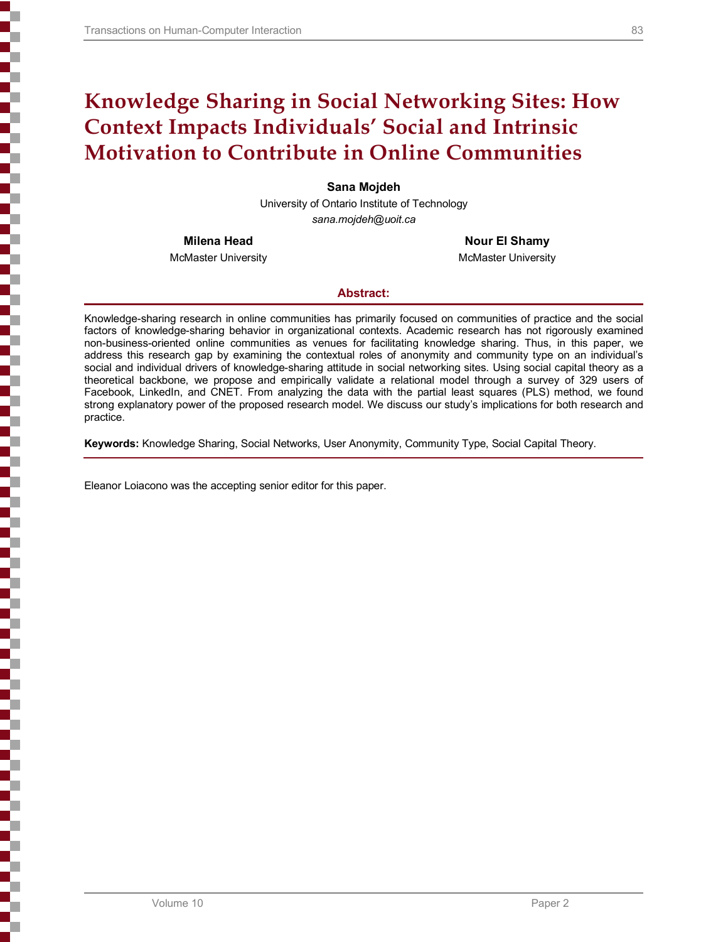# **Knowledge Sharing in Social Networking Sites: How Context Impacts Individuals' Social and Intrinsic Motivation to Contribute in Online Communities**

**Sana Mojdeh**

University of Ontario Institute of Technology *sana.mojdeh@uoit.ca*

**Milena Head**

McMaster University

**Nour El Shamy**

McMaster University

#### **Abstract:**

Knowledge-sharing research in online communities has primarily focused on communities of practice and the social factors of knowledge-sharing behavior in organizational contexts. Academic research has not rigorously examined non-business-oriented online communities as venues for facilitating knowledge sharing. Thus, in this paper, we address this research gap by examining the contextual roles of anonymity and community type on an individual's social and individual drivers of knowledge-sharing attitude in social networking sites. Using social capital theory as a theoretical backbone, we propose and empirically validate a relational model through a survey of 329 users of Facebook, LinkedIn, and CNET. From analyzing the data with the partial least squares (PLS) method, we found strong explanatory power of the proposed research model. We discuss our study's implications for both research and practice.

**Keywords:** Knowledge Sharing, Social Networks, User Anonymity, Community Type, Social Capital Theory.

Eleanor Loiacono was the accepting senior editor for this paper.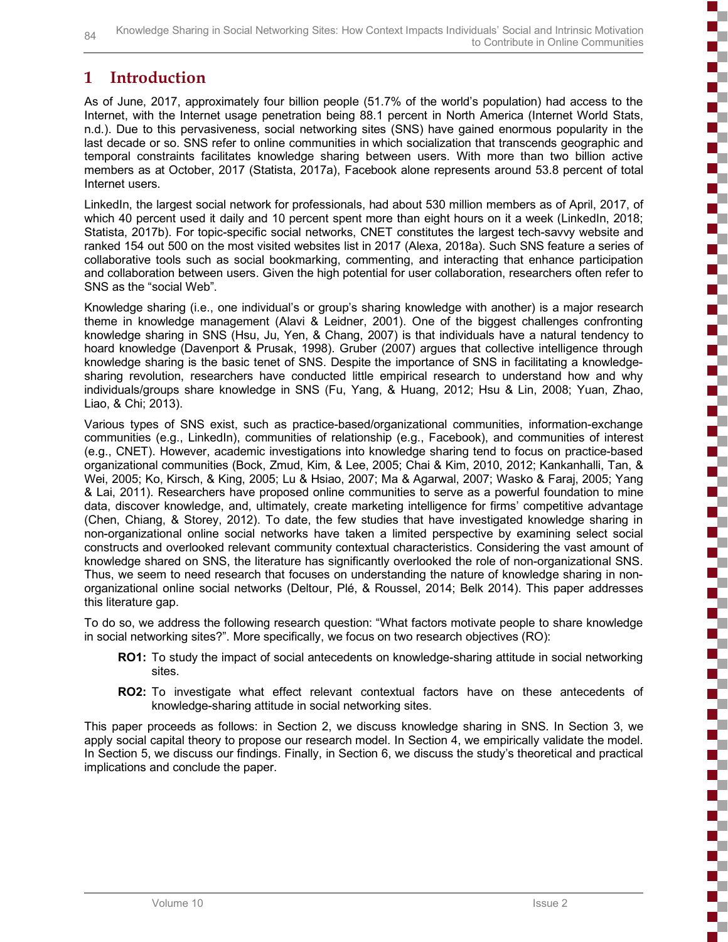## **1 Introduction**

As of June, 2017, approximately four billion people (51.7% of the world's population) had access to the Internet, with the Internet usage penetration being 88.1 percent in North America (Internet World Stats, n.d.). Due to this pervasiveness, social networking sites (SNS) have gained enormous popularity in the last decade or so. SNS refer to online communities in which socialization that transcends geographic and temporal constraints facilitates knowledge sharing between users. With more than two billion active members as at October, 2017 (Statista, 2017a), Facebook alone represents around 53.8 percent of total Internet users.

LinkedIn, the largest social network for professionals, had about 530 million members as of April, 2017, of which 40 percent used it daily and 10 percent spent more than eight hours on it a week (LinkedIn, 2018; Statista, 2017b). For topic-specific social networks, CNET constitutes the largest tech-savvy website and ranked 154 out 500 on the most visited websites list in 2017 (Alexa, 2018a). Such SNS feature a series of collaborative tools such as social bookmarking, commenting, and interacting that enhance participation and collaboration between users. Given the high potential for user collaboration, researchers often refer to SNS as the "social Web".

Knowledge sharing (i.e., one individual's or group's sharing knowledge with another) is a major research theme in knowledge management (Alavi & Leidner, 2001). One of the biggest challenges confronting knowledge sharing in SNS (Hsu, Ju, Yen, & Chang, 2007) is that individuals have a natural tendency to hoard knowledge (Davenport & Prusak, 1998). Gruber (2007) argues that collective intelligence through knowledge sharing is the basic tenet of SNS. Despite the importance of SNS in facilitating a knowledgesharing revolution, researchers have conducted little empirical research to understand how and why individuals/groups share knowledge in SNS (Fu, Yang, & Huang, 2012; Hsu & Lin, 2008; Yuan, Zhao, Liao, & Chi; 2013).

Various types of SNS exist, such as practice-based/organizational communities, information-exchange communities (e.g., LinkedIn), communities of relationship (e.g., Facebook), and communities of interest (e.g., CNET). However, academic investigations into knowledge sharing tend to focus on practice-based organizational communities (Bock, Zmud, Kim, & Lee, 2005; Chai & Kim, 2010, 2012; Kankanhalli, Tan, & Wei, 2005; Ko, Kirsch, & King, 2005; Lu & Hsiao, 2007; Ma & Agarwal, 2007; Wasko & Faraj, 2005; Yang & Lai, 2011). Researchers have proposed online communities to serve as a powerful foundation to mine data, discover knowledge, and, ultimately, create marketing intelligence for firms' competitive advantage (Chen, Chiang, & Storey, 2012). To date, the few studies that have investigated knowledge sharing in non-organizational online social networks have taken a limited perspective by examining select social constructs and overlooked relevant community contextual characteristics. Considering the vast amount of knowledge shared on SNS, the literature has significantly overlooked the role of non-organizational SNS. Thus, we seem to need research that focuses on understanding the nature of knowledge sharing in nonorganizational online social networks (Deltour, Plé, & Roussel, 2014; Belk 2014). This paper addresses this literature gap.

To do so, we address the following research question: "What factors motivate people to share knowledge in social networking sites?". More specifically, we focus on two research objectives (RO):

- **RO1:** To study the impact of social antecedents on knowledge-sharing attitude in social networking sites.
- **RO2:** To investigate what effect relevant contextual factors have on these antecedents of knowledge-sharing attitude in social networking sites.

This paper proceeds as follows: in Section 2, we discuss knowledge sharing in SNS. In Section 3, we apply social capital theory to propose our research model. In Section 4, we empirically validate the model. In Section 5, we discuss our findings. Finally, in Section 6, we discuss the study's theoretical and practical implications and conclude the paper.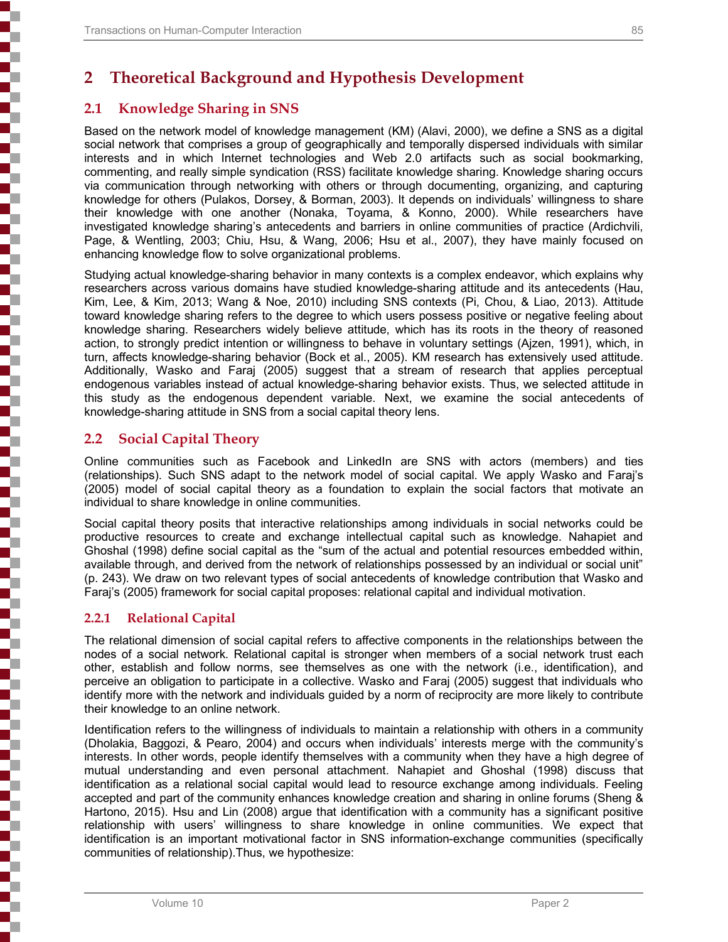## **2 Theoretical Background and Hypothesis Development**

## **2.1 Knowledge Sharing in SNS**

Based on the network model of knowledge management (KM) (Alavi, 2000), we define a SNS as a digital social network that comprises a group of geographically and temporally dispersed individuals with similar interests and in which Internet technologies and Web 2.0 artifacts such as social bookmarking, commenting, and really simple syndication (RSS) facilitate knowledge sharing. Knowledge sharing occurs via communication through networking with others or through documenting, organizing, and capturing knowledge for others (Pulakos, Dorsey, & Borman, 2003). It depends on individuals' willingness to share their knowledge with one another (Nonaka, Toyama, & Konno, 2000). While researchers have investigated knowledge sharing's antecedents and barriers in online communities of practice (Ardichvili, Page, & Wentling, 2003; Chiu, Hsu, & Wang, 2006; Hsu et al., 2007), they have mainly focused on enhancing knowledge flow to solve organizational problems.

Studying actual knowledge-sharing behavior in many contexts is a complex endeavor, which explains why researchers across various domains have studied knowledge-sharing attitude and its antecedents (Hau, Kim, Lee, & Kim, 2013; Wang & Noe, 2010) including SNS contexts (Pi, Chou, & Liao, 2013). Attitude toward knowledge sharing refers to the degree to which users possess positive or negative feeling about knowledge sharing. Researchers widely believe attitude, which has its roots in the theory of reasoned action, to strongly predict intention or willingness to behave in voluntary settings (Ajzen, 1991), which, in turn, affects knowledge-sharing behavior (Bock et al., 2005). KM research has extensively used attitude. Additionally, Wasko and Faraj (2005) suggest that a stream of research that applies perceptual endogenous variables instead of actual knowledge-sharing behavior exists. Thus, we selected attitude in this study as the endogenous dependent variable. Next, we examine the social antecedents of knowledge-sharing attitude in SNS from a social capital theory lens.

## **2.2 Social Capital Theory**

Online communities such as Facebook and LinkedIn are SNS with actors (members) and ties (relationships). Such SNS adapt to the network model of social capital. We apply Wasko and Faraj's (2005) model of social capital theory as a foundation to explain the social factors that motivate an individual to share knowledge in online communities.

Social capital theory posits that interactive relationships among individuals in social networks could be productive resources to create and exchange intellectual capital such as knowledge. Nahapiet and Ghoshal (1998) define social capital as the "sum of the actual and potential resources embedded within, available through, and derived from the network of relationships possessed by an individual or social unit" (p. 243). We draw on two relevant types of social antecedents of knowledge contribution that Wasko and Faraj's (2005) framework for social capital proposes: relational capital and individual motivation.

### **2.2.1 Relational Capital**

The relational dimension of social capital refers to affective components in the relationships between the nodes of a social network. Relational capital is stronger when members of a social network trust each other, establish and follow norms, see themselves as one with the network (i.e., identification), and perceive an obligation to participate in a collective. Wasko and Faraj (2005) suggest that individuals who identify more with the network and individuals guided by a norm of reciprocity are more likely to contribute their knowledge to an online network.

Identification refers to the willingness of individuals to maintain a relationship with others in a community (Dholakia, Baggozi, & Pearo, 2004) and occurs when individuals' interests merge with the community's interests. In other words, people identify themselves with a community when they have a high degree of mutual understanding and even personal attachment. Nahapiet and Ghoshal (1998) discuss that identification as a relational social capital would lead to resource exchange among individuals. Feeling accepted and part of the community enhances knowledge creation and sharing in online forums (Sheng & Hartono, 2015). Hsu and Lin (2008) argue that identification with a community has a significant positive relationship with users' willingness to share knowledge in online communities. We expect that identification is an important motivational factor in SNS information-exchange communities (specifically communities of relationship).Thus, we hypothesize: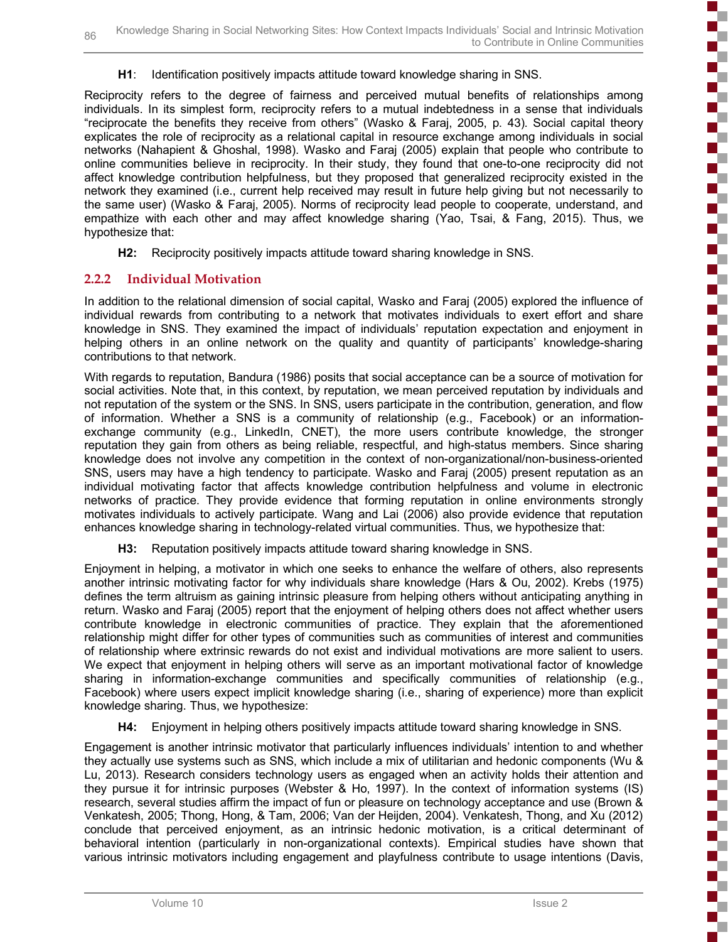#### **H1**: Identification positively impacts attitude toward knowledge sharing in SNS.

Reciprocity refers to the degree of fairness and perceived mutual benefits of relationships among individuals. In its simplest form, reciprocity refers to a mutual indebtedness in a sense that individuals "reciprocate the benefits they receive from others" (Wasko & Faraj, 2005, p. 43). Social capital theory explicates the role of reciprocity as a relational capital in resource exchange among individuals in social networks (Nahapient & Ghoshal, 1998). Wasko and Faraj (2005) explain that people who contribute to online communities believe in reciprocity. In their study, they found that one-to-one reciprocity did not affect knowledge contribution helpfulness, but they proposed that generalized reciprocity existed in the network they examined (i.e., current help received may result in future help giving but not necessarily to the same user) (Wasko & Faraj, 2005). Norms of reciprocity lead people to cooperate, understand, and empathize with each other and may affect knowledge sharing (Yao, Tsai, & Fang, 2015). Thus, we hypothesize that:

**H2:** Reciprocity positively impacts attitude toward sharing knowledge in SNS.

### **2.2.2 Individual Motivation**

In addition to the relational dimension of social capital, Wasko and Faraj (2005) explored the influence of individual rewards from contributing to a network that motivates individuals to exert effort and share knowledge in SNS. They examined the impact of individuals' reputation expectation and enjoyment in helping others in an online network on the quality and quantity of participants' knowledge-sharing contributions to that network.

With regards to reputation, Bandura (1986) posits that social acceptance can be a source of motivation for social activities. Note that, in this context, by reputation, we mean perceived reputation by individuals and not reputation of the system or the SNS. In SNS, users participate in the contribution, generation, and flow of information. Whether a SNS is a community of relationship (e.g., Facebook) or an informationexchange community (e.g., LinkedIn, CNET), the more users contribute knowledge, the stronger reputation they gain from others as being reliable, respectful, and high-status members. Since sharing knowledge does not involve any competition in the context of non-organizational/non-business-oriented SNS, users may have a high tendency to participate. Wasko and Faraj (2005) present reputation as an individual motivating factor that affects knowledge contribution helpfulness and volume in electronic networks of practice. They provide evidence that forming reputation in online environments strongly motivates individuals to actively participate. Wang and Lai (2006) also provide evidence that reputation enhances knowledge sharing in technology-related virtual communities. Thus, we hypothesize that:

**H3:** Reputation positively impacts attitude toward sharing knowledge in SNS.

Enjoyment in helping, a motivator in which one seeks to enhance the welfare of others, also represents another intrinsic motivating factor for why individuals share knowledge (Hars & Ou, 2002). Krebs (1975) defines the term altruism as gaining intrinsic pleasure from helping others without anticipating anything in return. Wasko and Faraj (2005) report that the enjoyment of helping others does not affect whether users contribute knowledge in electronic communities of practice. They explain that the aforementioned relationship might differ for other types of communities such as communities of interest and communities of relationship where extrinsic rewards do not exist and individual motivations are more salient to users. We expect that enjoyment in helping others will serve as an important motivational factor of knowledge sharing in information-exchange communities and specifically communities of relationship (e.g., Facebook) where users expect implicit knowledge sharing (i.e., sharing of experience) more than explicit knowledge sharing. Thus, we hypothesize:

**H4:** Enjoyment in helping others positively impacts attitude toward sharing knowledge in SNS.

Engagement is another intrinsic motivator that particularly influences individuals' intention to and whether they actually use systems such as SNS, which include a mix of utilitarian and hedonic components (Wu & Lu, 2013). Research considers technology users as engaged when an activity holds their attention and they pursue it for intrinsic purposes (Webster & Ho, 1997). In the context of information systems (IS) research, several studies affirm the impact of fun or pleasure on technology acceptance and use (Brown & Venkatesh, 2005; Thong, Hong, & Tam, 2006; Van der Heijden, 2004). Venkatesh, Thong, and Xu (2012) conclude that perceived enjoyment, as an intrinsic hedonic motivation, is a critical determinant of behavioral intention (particularly in non-organizational contexts). Empirical studies have shown that various intrinsic motivators including engagement and playfulness contribute to usage intentions (Davis,

į

i

ş

n T

i<br>Santa Santa Santa Santa Santa Santa Santa Santa Tanzania<br>Santa Santa Santa Santa Santa Santa Santa Santa Santa Santa Santa Santa Santa Santa Santa Santa Santa Santa S

ī,

ちょうかん かんかん かんかん

Š

T m.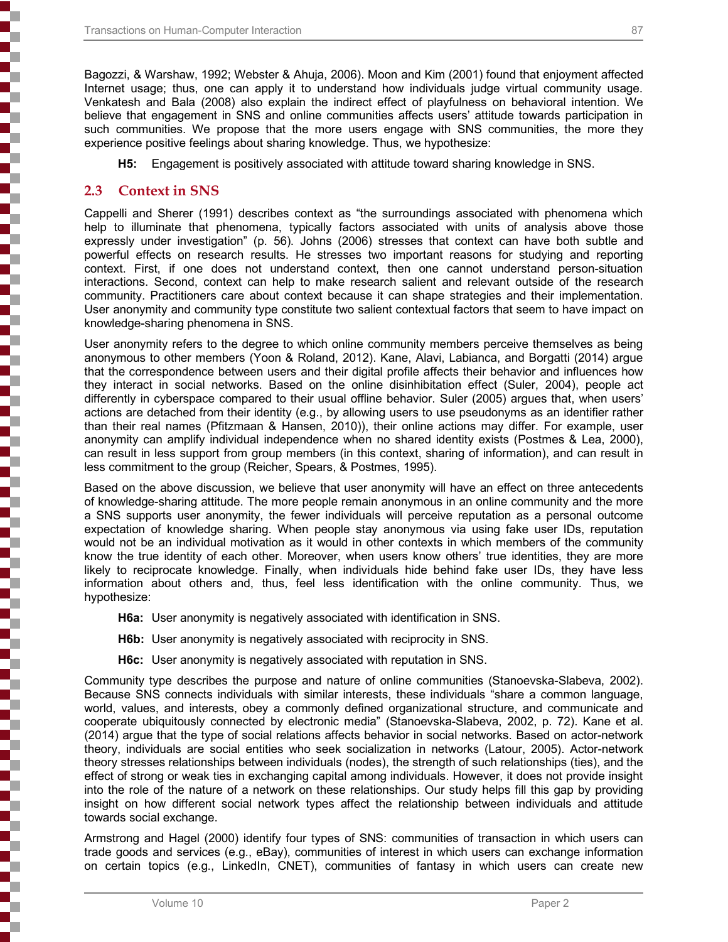Bagozzi, & Warshaw, 1992; Webster & Ahuja, 2006). Moon and Kim (2001) found that enjoyment affected Internet usage; thus, one can apply it to understand how individuals judge virtual community usage. Venkatesh and Bala (2008) also explain the indirect effect of playfulness on behavioral intention. We believe that engagement in SNS and online communities affects users' attitude towards participation in such communities. We propose that the more users engage with SNS communities, the more they experience positive feelings about sharing knowledge. Thus, we hypothesize:

**H5:** Engagement is positively associated with attitude toward sharing knowledge in SNS.

### **2.3 Context in SNS**

Cappelli and Sherer (1991) describes context as "the surroundings associated with phenomena which help to illuminate that phenomena, typically factors associated with units of analysis above those expressly under investigation" (p. 56). Johns (2006) stresses that context can have both subtle and powerful effects on research results. He stresses two important reasons for studying and reporting context. First, if one does not understand context, then one cannot understand person-situation interactions. Second, context can help to make research salient and relevant outside of the research community. Practitioners care about context because it can shape strategies and their implementation. User anonymity and community type constitute two salient contextual factors that seem to have impact on knowledge-sharing phenomena in SNS.

User anonymity refers to the degree to which online community members perceive themselves as being anonymous to other members (Yoon & Roland, 2012). Kane, Alavi, Labianca, and Borgatti (2014) argue that the correspondence between users and their digital profile affects their behavior and influences how they interact in social networks. Based on the online disinhibitation effect (Suler, 2004), people act differently in cyberspace compared to their usual offline behavior. Suler (2005) argues that, when users' actions are detached from their identity (e.g., by allowing users to use pseudonyms as an identifier rather than their real names (Pfitzmaan & Hansen, 2010)), their online actions may differ. For example, user anonymity can amplify individual independence when no shared identity exists (Postmes & Lea, 2000), can result in less support from group members (in this context, sharing of information), and can result in less commitment to the group (Reicher, Spears, & Postmes, 1995).

Based on the above discussion, we believe that user anonymity will have an effect on three antecedents of knowledge-sharing attitude. The more people remain anonymous in an online community and the more a SNS supports user anonymity, the fewer individuals will perceive reputation as a personal outcome expectation of knowledge sharing. When people stay anonymous via using fake user IDs, reputation would not be an individual motivation as it would in other contexts in which members of the community know the true identity of each other. Moreover, when users know others' true identities, they are more likely to reciprocate knowledge. Finally, when individuals hide behind fake user IDs, they have less information about others and, thus, feel less identification with the online community. Thus, we hypothesize:

- **H6a:** User anonymity is negatively associated with identification in SNS.
- **H6b:** User anonymity is negatively associated with reciprocity in SNS.
- **H6c:** User anonymity is negatively associated with reputation in SNS.

Community type describes the purpose and nature of online communities (Stanoevska-Slabeva, 2002). Because SNS connects individuals with similar interests, these individuals "share a common language, world, values, and interests, obey a commonly defined organizational structure, and communicate and cooperate ubiquitously connected by electronic media" (Stanoevska-Slabeva, 2002, p. 72). Kane et al. (2014) argue that the type of social relations affects behavior in social networks. Based on actor-network theory, individuals are social entities who seek socialization in networks (Latour, 2005). Actor-network theory stresses relationships between individuals (nodes), the strength of such relationships (ties), and the effect of strong or weak ties in exchanging capital among individuals. However, it does not provide insight into the role of the nature of a network on these relationships. Our study helps fill this gap by providing insight on how different social network types affect the relationship between individuals and attitude towards social exchange.

Armstrong and Hagel (2000) identify four types of SNS: communities of transaction in which users can trade goods and services (e.g., eBay), communities of interest in which users can exchange information on certain topics (e.g., LinkedIn, CNET), communities of fantasy in which users can create new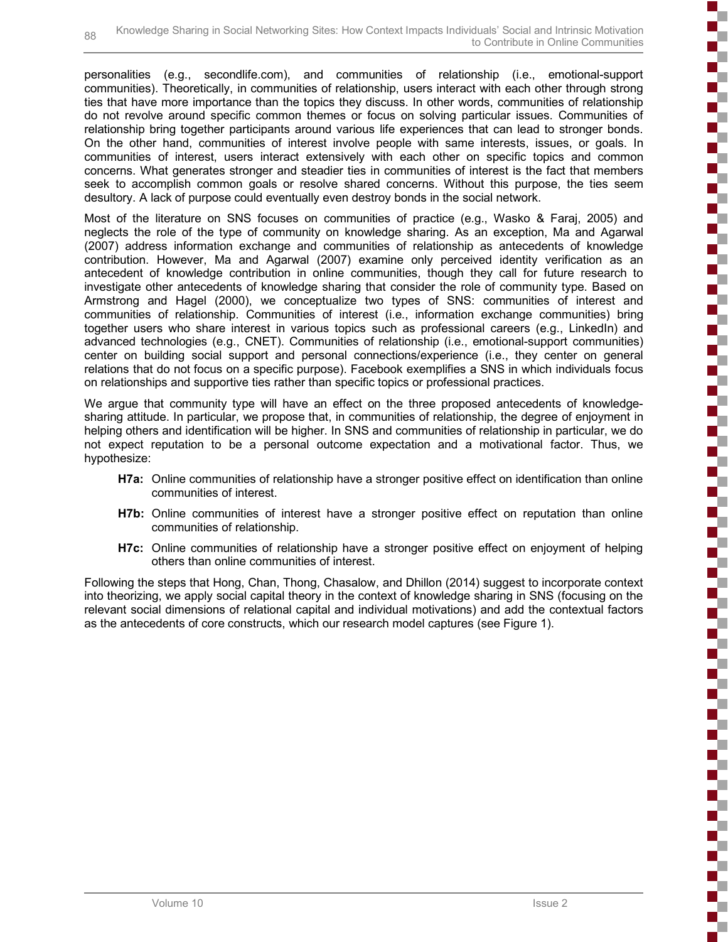personalities (e.g., secondlife.com), and communities of relationship (i.e., emotional-support communities). Theoretically, in communities of relationship, users interact with each other through strong ties that have more importance than the topics they discuss. In other words, communities of relationship do not revolve around specific common themes or focus on solving particular issues. Communities of relationship bring together participants around various life experiences that can lead to stronger bonds. On the other hand, communities of interest involve people with same interests, issues, or goals. In communities of interest, users interact extensively with each other on specific topics and common concerns. What generates stronger and steadier ties in communities of interest is the fact that members seek to accomplish common goals or resolve shared concerns. Without this purpose, the ties seem desultory. A lack of purpose could eventually even destroy bonds in the social network.

Most of the literature on SNS focuses on communities of practice (e.g., Wasko & Faraj, 2005) and neglects the role of the type of community on knowledge sharing. As an exception, Ma and Agarwal (2007) address information exchange and communities of relationship as antecedents of knowledge contribution. However, Ma and Agarwal (2007) examine only perceived identity verification as an antecedent of knowledge contribution in online communities, though they call for future research to investigate other antecedents of knowledge sharing that consider the role of community type. Based on Armstrong and Hagel (2000), we conceptualize two types of SNS: communities of interest and communities of relationship. Communities of interest (i.e., information exchange communities) bring together users who share interest in various topics such as professional careers (e.g., LinkedIn) and advanced technologies (e.g., CNET). Communities of relationship (i.e., emotional-support communities) center on building social support and personal connections/experience (i.e., they center on general relations that do not focus on a specific purpose). Facebook exemplifies a SNS in which individuals focus on relationships and supportive ties rather than specific topics or professional practices.

We argue that community type will have an effect on the three proposed antecedents of knowledgesharing attitude. In particular, we propose that, in communities of relationship, the degree of enjoyment in helping others and identification will be higher. In SNS and communities of relationship in particular, we do not expect reputation to be a personal outcome expectation and a motivational factor. Thus, we hypothesize:

- **H7a:** Online communities of relationship have a stronger positive effect on identification than online communities of interest.
- **H7b:** Online communities of interest have a stronger positive effect on reputation than online communities of relationship.
- **H7c:** Online communities of relationship have a stronger positive effect on enjoyment of helping others than online communities of interest.

Following the steps that Hong, Chan, Thong, Chasalow, and Dhillon (2014) suggest to incorporate context into theorizing, we apply social capital theory in the context of knowledge sharing in SNS (focusing on the relevant social dimensions of relational capital and individual motivations) and add the contextual factors as the antecedents of core constructs, which our research model captures (see Figure 1).

 $\Box$ 

5

a pr

q,

n T

Ş

 $\mathbb{Z}^{\mathbb{Z}}$ 2 t

E,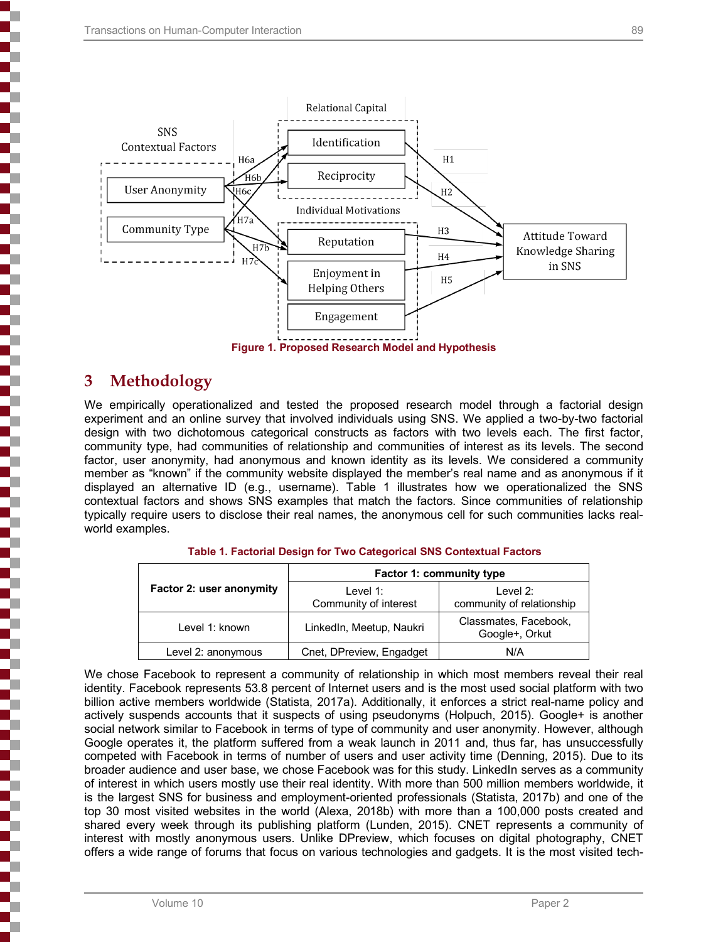

**Figure 1. Proposed Research Model and Hypothesis**

## **3 Methodology**

We empirically operationalized and tested the proposed research model through a factorial design experiment and an online survey that involved individuals using SNS. We applied a two-by-two factorial design with two dichotomous categorical constructs as factors with two levels each. The first factor, community type, had communities of relationship and communities of interest as its levels. The second factor, user anonymity, had anonymous and known identity as its levels. We considered a community member as "known" if the community website displayed the member's real name and as anonymous if it displayed an alternative ID (e.g., username). Table 1 illustrates how we operationalized the SNS contextual factors and shows SNS examples that match the factors. Since communities of relationship typically require users to disclose their real names, the anonymous cell for such communities lacks realworld examples.

|                          | <b>Factor 1: community type</b>   |                                          |  |  |  |
|--------------------------|-----------------------------------|------------------------------------------|--|--|--|
| Factor 2: user anonymity | Level 1:<br>Community of interest | Level $2$ :<br>community of relationship |  |  |  |
| Level 1: known           | LinkedIn, Meetup, Naukri          | Classmates, Facebook,<br>Google+, Orkut  |  |  |  |
| Level 2: anonymous       | Cnet, DPreview, Engadget          | N/A                                      |  |  |  |

#### **Table 1. Factorial Design for Two Categorical SNS Contextual Factors**

We chose Facebook to represent a community of relationship in which most members reveal their real identity. Facebook represents 53.8 percent of Internet users and is the most used social platform with two billion active members worldwide (Statista, 2017a). Additionally, it enforces a strict real-name policy and actively suspends accounts that it suspects of using pseudonyms (Holpuch, 2015). Google+ is another social network similar to Facebook in terms of type of community and user anonymity. However, although Google operates it, the platform suffered from a weak launch in 2011 and, thus far, has unsuccessfully competed with Facebook in terms of number of users and user activity time (Denning, 2015). Due to its broader audience and user base, we chose Facebook was for this study. LinkedIn serves as a community of interest in which users mostly use their real identity. With more than 500 million members worldwide, it is the largest SNS for business and employment-oriented professionals (Statista, 2017b) and one of the top 30 most visited websites in the world (Alexa, 2018b) with more than a 100,000 posts created and shared every week through its publishing platform (Lunden, 2015). CNET represents a community of interest with mostly anonymous users. Unlike DPreview, which focuses on digital photography, CNET offers a wide range of forums that focus on various technologies and gadgets. It is the most visited tech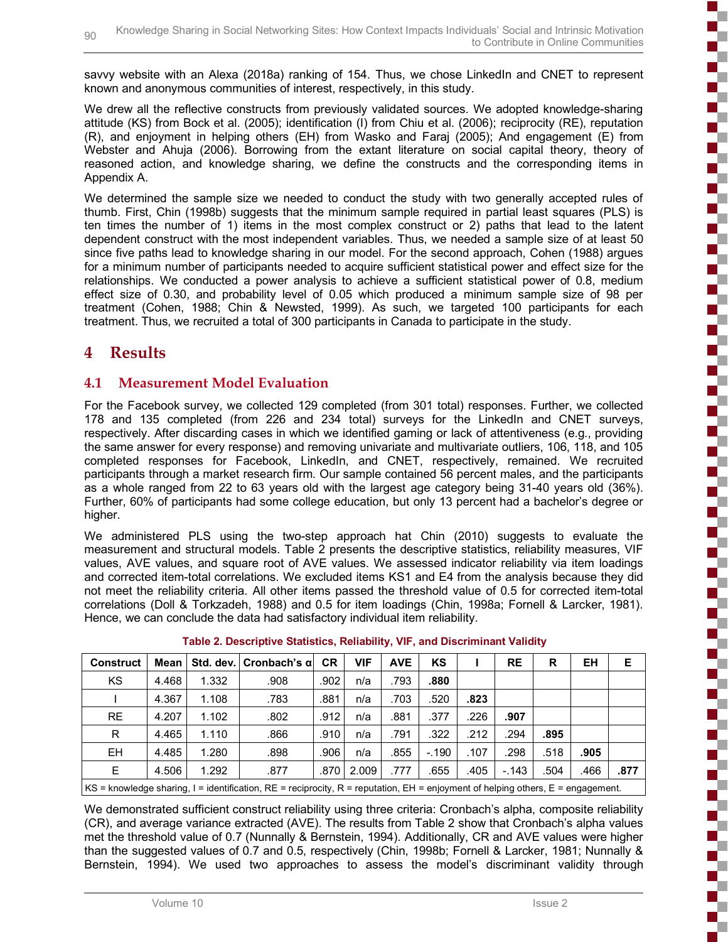savvy website with an Alexa (2018a) ranking of 154. Thus, we chose LinkedIn and CNET to represent known and anonymous communities of interest, respectively, in this study.

We drew all the reflective constructs from previously validated sources. We adopted knowledge-sharing attitude (KS) from Bock et al. (2005); identification (I) from Chiu et al. (2006); reciprocity (RE), reputation (R), and enjoyment in helping others (EH) from Wasko and Faraj (2005); And engagement (E) from Webster and Ahuja (2006). Borrowing from the extant literature on social capital theory, theory of reasoned action, and knowledge sharing, we define the constructs and the corresponding items in Appendix A.

We determined the sample size we needed to conduct the study with two generally accepted rules of thumb. First, Chin (1998b) suggests that the minimum sample required in partial least squares (PLS) is ten times the number of 1) items in the most complex construct or 2) paths that lead to the latent dependent construct with the most independent variables. Thus, we needed a sample size of at least 50 since five paths lead to knowledge sharing in our model. For the second approach, Cohen (1988) argues for a minimum number of participants needed to acquire sufficient statistical power and effect size for the relationships. We conducted a power analysis to achieve a sufficient statistical power of 0.8, medium effect size of 0.30, and probability level of 0.05 which produced a minimum sample size of 98 per treatment (Cohen, 1988; Chin & Newsted, 1999). As such, we targeted 100 participants for each treatment. Thus, we recruited a total of 300 participants in Canada to participate in the study.

## **4 Results**

## **4.1 Measurement Model Evaluation**

For the Facebook survey, we collected 129 completed (from 301 total) responses. Further, we collected 178 and 135 completed (from 226 and 234 total) surveys for the LinkedIn and CNET surveys, respectively. After discarding cases in which we identified gaming or lack of attentiveness (e.g., providing the same answer for every response) and removing univariate and multivariate outliers, 106, 118, and 105 completed responses for Facebook, LinkedIn, and CNET, respectively, remained. We recruited participants through a market research firm. Our sample contained 56 percent males, and the participants as a whole ranged from 22 to 63 years old with the largest age category being 31-40 years old (36%). Further, 60% of participants had some college education, but only 13 percent had a bachelor's degree or higher.

We administered PLS using the two-step approach hat Chin (2010) suggests to evaluate the measurement and structural models. Table 2 presents the descriptive statistics, reliability measures, VIF values, AVE values, and square root of AVE values. We assessed indicator reliability via item loadings and corrected item-total correlations. We excluded items KS1 and E4 from the analysis because they did not meet the reliability criteria. All other items passed the threshold value of 0.5 for corrected item-total correlations (Doll & Torkzadeh, 1988) and 0.5 for item loadings (Chin, 1998a; Fornell & Larcker, 1981). Hence, we can conclude the data had satisfactory individual item reliability.

| <b>Construct</b> | Mean  |       | Std. dev. Cronbach's αl                                                                                                             | <b>CR</b> | VIF   | <b>AVE</b> | ΚS      |      | <b>RE</b> | R    | EН   | Е    |
|------------------|-------|-------|-------------------------------------------------------------------------------------------------------------------------------------|-----------|-------|------------|---------|------|-----------|------|------|------|
| KS               | 4.468 | 1.332 | .908                                                                                                                                | .902      | n/a   | .793       | .880    |      |           |      |      |      |
|                  | 4.367 | 1.108 | .783                                                                                                                                | .881      | n/a   | .703       | .520    | .823 |           |      |      |      |
| <b>RE</b>        | 4.207 | 1.102 | .802                                                                                                                                | .912      | n/a   | .881       | .377    | .226 | .907      |      |      |      |
| R                | 4.465 | 1.110 | .866                                                                                                                                | .910      | n/a   | .791       | .322    | .212 | .294      | .895 |      |      |
| EH               | 4.485 | 1.280 | .898                                                                                                                                | .906      | n/a   | .855       | $-.190$ | .107 | .298      | .518 | .905 |      |
| Е                | 4.506 | 1.292 | .877                                                                                                                                | .870      | 2.009 | .777       | .655    | .405 | $-.143$   | .504 | .466 | .877 |
|                  |       |       | $ $ KS = knowledge sharing, I = identification, RE = reciprocity, R = reputation, EH = enjoyment of helping others, E = engagement. |           |       |            |         |      |           |      |      |      |

**Table 2. Descriptive Statistics, Reliability, VIF, and Discriminant Validity**

We demonstrated sufficient construct reliability using three criteria: Cronbach's alpha, composite reliability (CR), and average variance extracted (AVE). The results from Table 2 show that Cronbach's alpha values met the threshold value of 0.7 (Nunnally & Bernstein, 1994). Additionally, CR and AVE values were higher than the suggested values of 0.7 and 0.5, respectively (Chin, 1998b; Fornell & Larcker, 1981; Nunnally & Bernstein, 1994). We used two approaches to assess the model's discriminant validity through E

i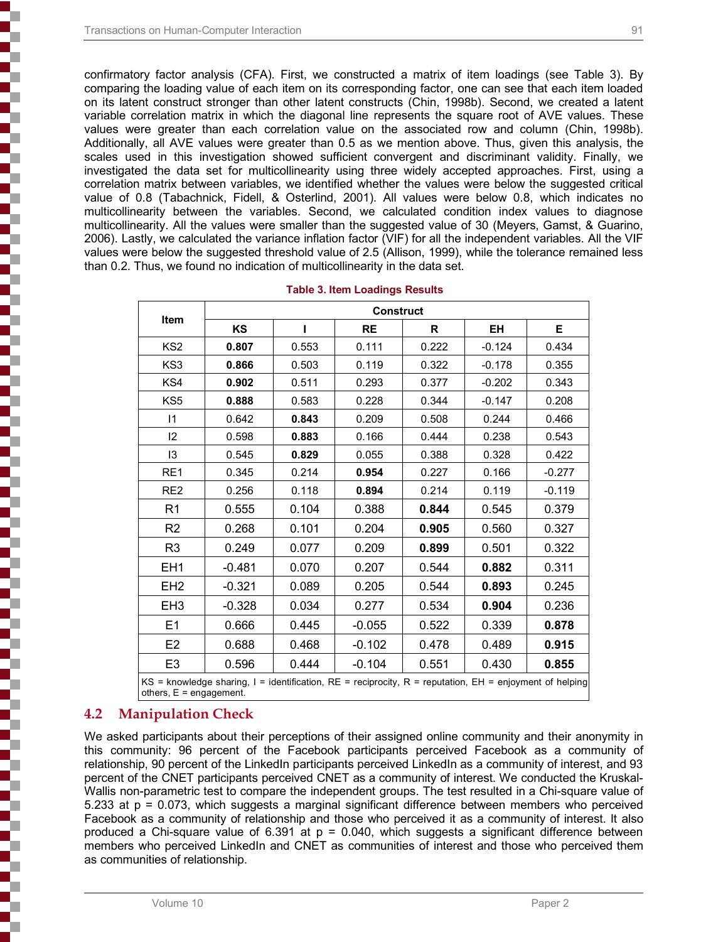į

confirmatory factor analysis (CFA). First, we constructed a matrix of item loadings (see Table 3). By comparing the loading value of each item on its corresponding factor, one can see that each item loaded on its latent construct stronger than other latent constructs (Chin, 1998b). Second, we created a latent variable correlation matrix in which the diagonal line represents the square root of AVE values. These values were greater than each correlation value on the associated row and column (Chin, 1998b). Additionally, all AVE values were greater than 0.5 as we mention above. Thus, given this analysis, the scales used in this investigation showed sufficient convergent and discriminant validity. Finally, we investigated the data set for multicollinearity using three widely accepted approaches. First, using a correlation matrix between variables, we identified whether the values were below the suggested critical value of 0.8 (Tabachnick, Fidell, & Osterlind, 2001). All values were below 0.8, which indicates no multicollinearity between the variables. Second, we calculated condition index values to diagnose multicollinearity. All the values were smaller than the suggested value of 30 (Meyers, Gamst, & Guarino, 2006). Lastly, we calculated the variance inflation factor (VIF) for all the independent variables. All the VIF values were below the suggested threshold value of 2.5 (Allison, 1999), while the tolerance remained less than 0.2. Thus, we found no indication of multicollinearity in the data set.

|                           | <b>Construct</b>                                                                                        |       |           |       |           |          |
|---------------------------|---------------------------------------------------------------------------------------------------------|-------|-----------|-------|-----------|----------|
| Item                      | KS                                                                                                      | ı     | <b>RE</b> | R.    | <b>EH</b> | Е        |
| KS <sub>2</sub>           | 0.807                                                                                                   | 0.553 | 0.111     | 0.222 | $-0.124$  | 0.434    |
| KS3                       | 0.866                                                                                                   | 0.503 | 0.119     | 0.322 | $-0.178$  | 0.355    |
| KS4                       | 0.902                                                                                                   | 0.511 | 0.293     | 0.377 | $-0.202$  | 0.343    |
| KS <sub>5</sub>           | 0.888                                                                                                   | 0.583 | 0.228     | 0.344 | $-0.147$  | 0.208    |
| $\mathsf{I}$              | 0.642                                                                                                   | 0.843 | 0.209     | 0.508 | 0.244     | 0.466    |
| 2                         | 0.598                                                                                                   | 0.883 | 0.166     | 0.444 | 0.238     | 0.543    |
| 13                        | 0.545                                                                                                   | 0.829 | 0.055     | 0.388 | 0.328     | 0.422    |
| RE1                       | 0.345                                                                                                   | 0.214 | 0.954     | 0.227 | 0.166     | $-0.277$ |
| RE <sub>2</sub>           | 0.256                                                                                                   | 0.118 | 0.894     | 0.214 | 0.119     | $-0.119$ |
| R1                        | 0.555                                                                                                   | 0.104 | 0.388     | 0.844 | 0.545     | 0.379    |
| R <sub>2</sub>            | 0.268                                                                                                   | 0.101 | 0.204     | 0.905 | 0.560     | 0.327    |
| R <sub>3</sub>            | 0.249                                                                                                   | 0.077 | 0.209     | 0.899 | 0.501     | 0.322    |
| EH <sub>1</sub>           | $-0.481$                                                                                                | 0.070 | 0.207     | 0.544 | 0.882     | 0.311    |
| EH <sub>2</sub>           | $-0.321$                                                                                                | 0.089 | 0.205     | 0.544 | 0.893     | 0.245    |
| EH <sub>3</sub>           | $-0.328$                                                                                                | 0.034 | 0.277     | 0.534 | 0.904     | 0.236    |
| E1                        | 0.666                                                                                                   | 0.445 | $-0.055$  | 0.522 | 0.339     | 0.878    |
| E <sub>2</sub>            | 0.688                                                                                                   | 0.468 | $-0.102$  | 0.478 | 0.489     | 0.915    |
| E <sub>3</sub>            | 0.596                                                                                                   | 0.444 | $-0.104$  | 0.551 | 0.430     | 0.855    |
| others, $E =$ engagement. | KS = knowledge sharing, I = identification, RE = reciprocity, R = reputation, EH = enjoyment of helping |       |           |       |           |          |

|  |  |  | <b>Table 3. Item Loadings Results</b> |  |
|--|--|--|---------------------------------------|--|
|--|--|--|---------------------------------------|--|

**4.2 Manipulation Check**

We asked participants about their perceptions of their assigned online community and their anonymity in this community: 96 percent of the Facebook participants perceived Facebook as a community of relationship, 90 percent of the LinkedIn participants perceived LinkedIn as a community of interest, and 93 percent of the CNET participants perceived CNET as a community of interest. We conducted the Kruskal-Wallis non-parametric test to compare the independent groups. The test resulted in a Chi-square value of 5.233 at p = 0.073, which suggests a marginal significant difference between members who perceived Facebook as a community of relationship and those who perceived it as a community of interest. It also produced a Chi-square value of 6.391 at  $p = 0.040$ , which suggests a significant difference between members who perceived LinkedIn and CNET as communities of interest and those who perceived them as communities of relationship.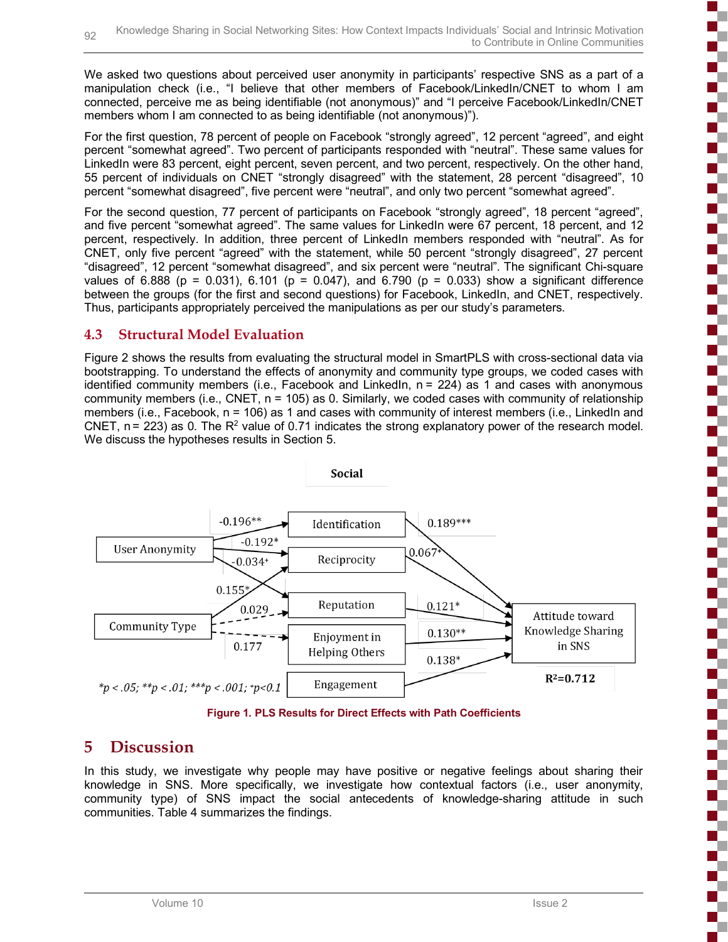We asked two questions about perceived user anonymity in participants' respective SNS as a part of a manipulation check (i.e., "I believe that other members of Facebook/LinkedIn/CNET to whom I am connected, perceive me as being identifiable (not anonymous)" and "I perceive Facebook/LinkedIn/CNET members whom I am connected to as being identifiable (not anonymous)").

For the first question, 78 percent of people on Facebook "strongly agreed", 12 percent "agreed", and eight percent "somewhat agreed". Two percent of participants responded with "neutral". These same values for LinkedIn were 83 percent, eight percent, seven percent, and two percent, respectively. On the other hand, 55 percent of individuals on CNET "strongly disagreed" with the statement, 28 percent "disagreed", 10 percent "somewhat disagreed", five percent were "neutral", and only two percent "somewhat agreed".

For the second question, 77 percent of participants on Facebook "strongly agreed", 18 percent "agreed", and five percent "somewhat agreed". The same values for LinkedIn were 67 percent, 18 percent, and 12 percent, respectively. In addition, three percent of LinkedIn members responded with "neutral". As for CNET, only five percent "agreed" with the statement, while 50 percent "strongly disagreed", 27 percent "disagreed", 12 percent "somewhat disagreed", and six percent were "neutral". The significant Chi-square values of 6.888 (p = 0.031), 6.101 (p = 0.047), and 6.790 (p = 0.033) show a significant difference between the groups (for the first and second questions) for Facebook, LinkedIn, and CNET, respectively. Thus, participants appropriately perceived the manipulations as per our study's parameters.

## **4.3 Structural Model Evaluation**

Figure 2 shows the results from evaluating the structural model in SmartPLS with cross-sectional data via bootstrapping. To understand the effects of anonymity and community type groups, we coded cases with identified community members (i.e., Facebook and LinkedIn,  $n = 224$ ) as 1 and cases with anonymous community members (i.e., CNET, n = 105) as 0. Similarly, we coded cases with community of relationship members (i.e., Facebook, n = 106) as 1 and cases with community of interest members (i.e., LinkedIn and CNET,  $n = 223$ ) as 0. The R<sup>2</sup> value of 0.71 indicates the strong explanatory power of the research model. We discuss the hypotheses results in Section 5.



**Figure 1. PLS Results for Direct Effects with Path Coefficients**

## **5 Discussion**

In this study, we investigate why people may have positive or negative feelings about sharing their knowledge in SNS. More specifically, we investigate how contextual factors (i.e., user anonymity, community type) of SNS impact the social antecedents of knowledge-sharing attitude in such communities. Table 4 summarizes the findings.

 $\mathbb{R}^n$ 

 $\mathbb{R}^n$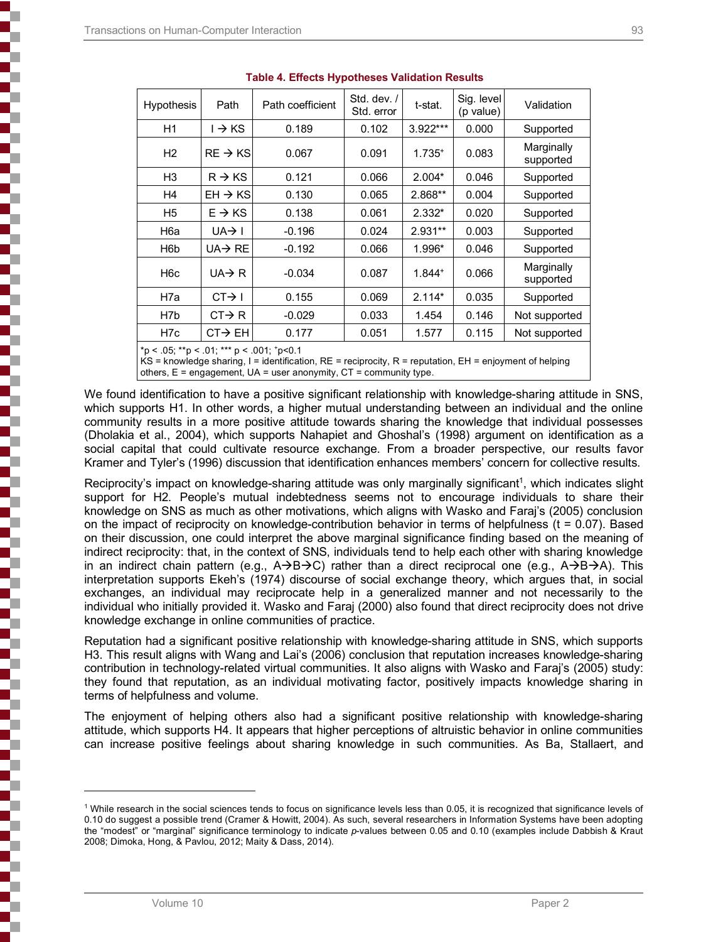| Hypothesis       | Path                 | Path coefficient | Std. dev. /<br>Std. error | t-stat.     | Sig. level<br>(p value) | Validation              |
|------------------|----------------------|------------------|---------------------------|-------------|-------------------------|-------------------------|
| H1               | $I \rightarrow KS$   | 0.189            | 0.102                     | $3.922***$  | 0.000                   | Supported               |
| H <sub>2</sub>   | $RE \rightarrow KS$  | 0.067            | 0.091                     | $1.735+$    | 0.083                   | Marginally<br>supported |
| H <sub>3</sub>   | $R \rightarrow KS$   | 0.121            | 0.066                     | $2.004*$    | 0.046                   | Supported               |
| H4               | $EH \rightarrow KSI$ | 0.130            | 0.065                     | 2.868**     | 0.004                   | Supported               |
| H <sub>5</sub>   | $E \rightarrow KS$   | 0.138            | 0.061                     | $2.332*$    | 0.020                   | Supported               |
| H6a              | $UA \rightarrow I$   | $-0.196$         | 0.024                     | $2.931**$   | 0.003                   | Supported               |
| H <sub>6</sub> b | $UA \rightarrow RE$  | $-0.192$         | 0.066                     | 1.996*      | 0.046                   | Supported               |
| H <sub>6</sub> c | $UA \rightarrow R$   | $-0.034$         | 0.087                     | $1.844^{+}$ | 0.066                   | Marginally<br>supported |
| H7a              | $CT \rightarrow 1$   | 0.155            | 0.069                     | $2.114*$    | 0.035                   | Supported               |
| H <sub>7</sub> b | $CT \rightarrow R$   | $-0.029$         | 0.033                     | 1.454       | 0.146                   | Not supported           |
| H7c              | $CT\rightarrow$ EH   | 0.177            | 0.051                     | 1.577       | 0.115                   | Not supported           |
|                  |                      |                  |                           |             |                         |                         |

#### **Table 4. Effects Hypotheses Validation Results**

 $*p < .05$ ;  $**p < .01$ ;  $***p < .001$ ;  $*p < .0.1$ 

 $KS$  = knowledge sharing, I = identification, RE = reciprocity, R = reputation, EH = enjoyment of helping others,  $E =$  engagement,  $UA =$  user anonymity,  $CT =$  community type.

We found identification to have a positive significant relationship with knowledge-sharing attitude in SNS, which supports H1. In other words, a higher mutual understanding between an individual and the online community results in a more positive attitude towards sharing the knowledge that individual possesses (Dholakia et al., 2004), which supports Nahapiet and Ghoshal's (1998) argument on identification as a social capital that could cultivate resource exchange. From a broader perspective, our results favor Kramer and Tyler's (1996) discussion that identification enhances members' concern for collective results.

Reciprocity's impact on knowledge-sharing attitude was only marginally significant<sup>1</sup>, which indicates slight support for H2. People's mutual indebtedness seems not to encourage individuals to share their knowledge on SNS as much as other motivations, which aligns with Wasko and Faraj's (2005) conclusion on the impact of reciprocity on knowledge-contribution behavior in terms of helpfulness ( $t = 0.07$ ). Based on their discussion, one could interpret the above marginal significance finding based on the meaning of indirect reciprocity: that, in the context of SNS, individuals tend to help each other with sharing knowledge in an indirect chain pattern (e.g.,  $A\rightarrow B\rightarrow C$ ) rather than a direct reciprocal one (e.g.,  $A\rightarrow B\rightarrow A$ ). This interpretation supports Ekeh's (1974) discourse of social exchange theory, which argues that, in social exchanges, an individual may reciprocate help in a generalized manner and not necessarily to the individual who initially provided it. Wasko and Faraj (2000) also found that direct reciprocity does not drive knowledge exchange in online communities of practice.

Reputation had a significant positive relationship with knowledge-sharing attitude in SNS, which supports H3. This result aligns with Wang and Lai's (2006) conclusion that reputation increases knowledge-sharing contribution in technology-related virtual communities. It also aligns with Wasko and Faraj's (2005) study: they found that reputation, as an individual motivating factor, positively impacts knowledge sharing in terms of helpfulness and volume.

The enjoyment of helping others also had a significant positive relationship with knowledge-sharing attitude, which supports H4. It appears that higher perceptions of altruistic behavior in online communities can increase positive feelings about sharing knowledge in such communities. As Ba, Stallaert, and

l

<sup>&</sup>lt;sup>1</sup> While research in the social sciences tends to focus on significance levels less than 0.05, it is recognized that significance levels of 0.10 do suggest a possible trend (Cramer & Howitt, 2004). As such, several researchers in Information Systems have been adopting the "modest" or "marginal" significance terminology to indicate *p*-values between 0.05 and 0.10 (examples include Dabbish & Kraut 2008; Dimoka, Hong, & Pavlou, 2012; Maity & Dass, 2014).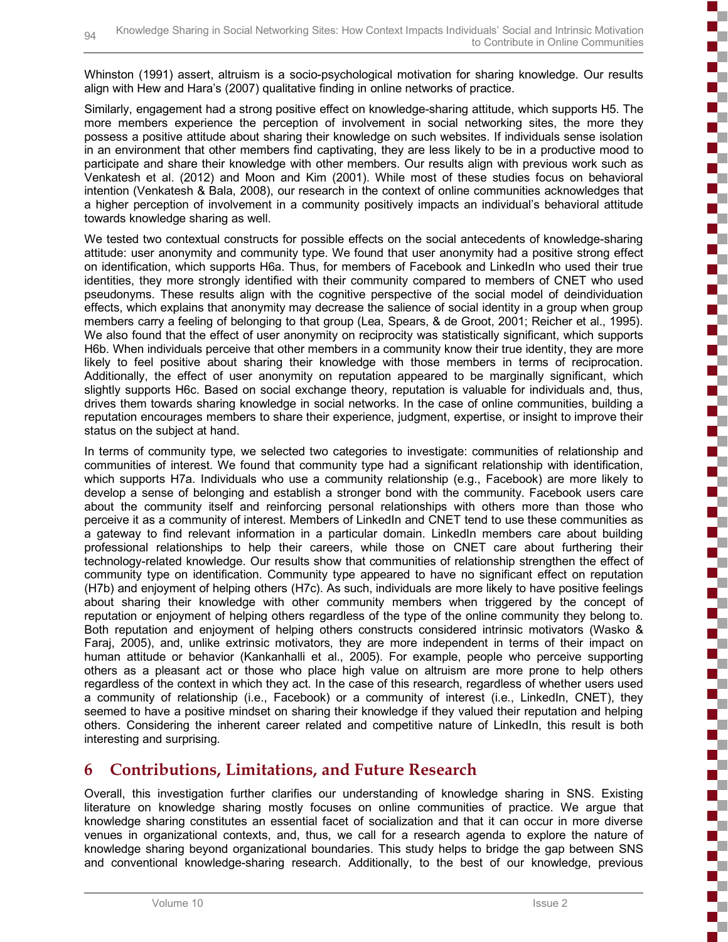Whinston (1991) assert, altruism is a socio-psychological motivation for sharing knowledge. Our results align with Hew and Hara's (2007) qualitative finding in online networks of practice.

Similarly, engagement had a strong positive effect on knowledge-sharing attitude, which supports H5. The more members experience the perception of involvement in social networking sites, the more they possess a positive attitude about sharing their knowledge on such websites. If individuals sense isolation in an environment that other members find captivating, they are less likely to be in a productive mood to participate and share their knowledge with other members. Our results align with previous work such as Venkatesh et al. (2012) and Moon and Kim (2001). While most of these studies focus on behavioral intention (Venkatesh & Bala, 2008), our research in the context of online communities acknowledges that a higher perception of involvement in a community positively impacts an individual's behavioral attitude towards knowledge sharing as well.

We tested two contextual constructs for possible effects on the social antecedents of knowledge-sharing attitude: user anonymity and community type. We found that user anonymity had a positive strong effect on identification, which supports H6a. Thus, for members of Facebook and LinkedIn who used their true identities, they more strongly identified with their community compared to members of CNET who used pseudonyms. These results align with the cognitive perspective of the social model of deindividuation effects, which explains that anonymity may decrease the salience of social identity in a group when group members carry a feeling of belonging to that group (Lea, Spears, & de Groot, 2001; Reicher et al., 1995). We also found that the effect of user anonymity on reciprocity was statistically significant, which supports H6b. When individuals perceive that other members in a community know their true identity, they are more likely to feel positive about sharing their knowledge with those members in terms of reciprocation. Additionally, the effect of user anonymity on reputation appeared to be marginally significant, which slightly supports H6c. Based on social exchange theory, reputation is valuable for individuals and, thus, drives them towards sharing knowledge in social networks. In the case of online communities, building a reputation encourages members to share their experience, judgment, expertise, or insight to improve their status on the subject at hand.

In terms of community type, we selected two categories to investigate: communities of relationship and communities of interest. We found that community type had a significant relationship with identification, which supports H7a. Individuals who use a community relationship (e.g., Facebook) are more likely to develop a sense of belonging and establish a stronger bond with the community. Facebook users care about the community itself and reinforcing personal relationships with others more than those who perceive it as a community of interest. Members of LinkedIn and CNET tend to use these communities as a gateway to find relevant information in a particular domain. LinkedIn members care about building professional relationships to help their careers, while those on CNET care about furthering their technology-related knowledge. Our results show that communities of relationship strengthen the effect of community type on identification. Community type appeared to have no significant effect on reputation (H7b) and enjoyment of helping others (H7c). As such, individuals are more likely to have positive feelings about sharing their knowledge with other community members when triggered by the concept of reputation or enjoyment of helping others regardless of the type of the online community they belong to. Both reputation and enjoyment of helping others constructs considered intrinsic motivators (Wasko & Faraj, 2005), and, unlike extrinsic motivators, they are more independent in terms of their impact on human attitude or behavior (Kankanhalli et al., 2005). For example, people who perceive supporting others as a pleasant act or those who place high value on altruism are more prone to help others regardless of the context in which they act. In the case of this research, regardless of whether users used a community of relationship (i.e., Facebook) or a community of interest (i.e., LinkedIn, CNET), they seemed to have a positive mindset on sharing their knowledge if they valued their reputation and helping others. Considering the inherent career related and competitive nature of LinkedIn, this result is both interesting and surprising.

## **6 Contributions, Limitations, and Future Research**

Overall, this investigation further clarifies our understanding of knowledge sharing in SNS. Existing literature on knowledge sharing mostly focuses on online communities of practice. We argue that knowledge sharing constitutes an essential facet of socialization and that it can occur in more diverse venues in organizational contexts, and, thus, we call for a research agenda to explore the nature of knowledge sharing beyond organizational boundaries. This study helps to bridge the gap between SNS and conventional knowledge-sharing research. Additionally, to the best of our knowledge, previous

ì

F

 $\blacksquare$ ą

i

5

n.

ţ

Ş

Ş

i

n.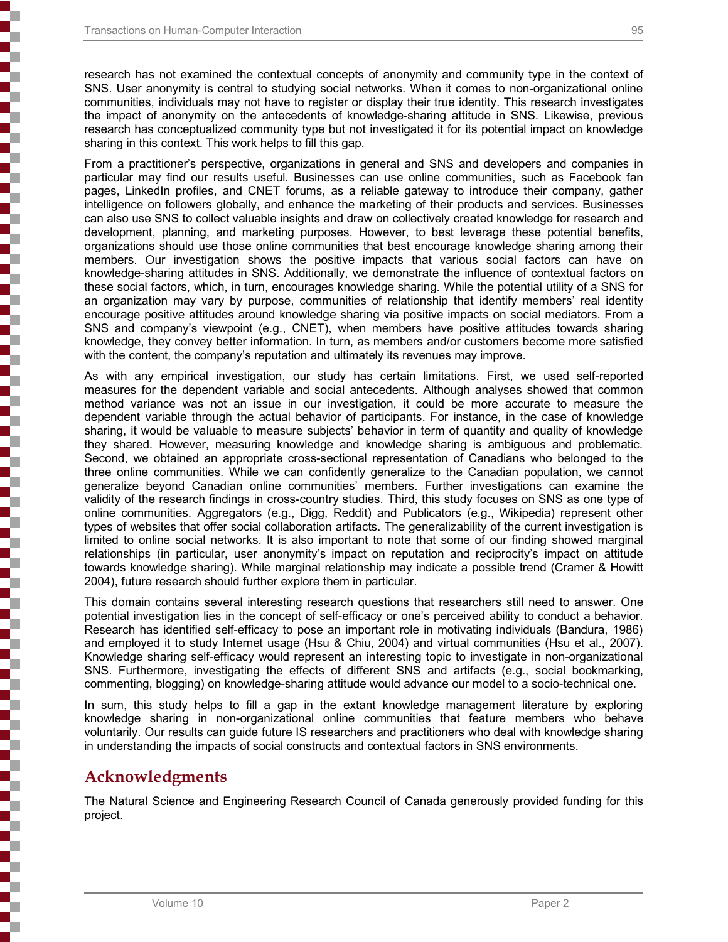research has not examined the contextual concepts of anonymity and community type in the context of SNS. User anonymity is central to studying social networks. When it comes to non-organizational online communities, individuals may not have to register or display their true identity. This research investigates the impact of anonymity on the antecedents of knowledge-sharing attitude in SNS. Likewise, previous research has conceptualized community type but not investigated it for its potential impact on knowledge sharing in this context. This work helps to fill this gap.

From a practitioner's perspective, organizations in general and SNS and developers and companies in particular may find our results useful. Businesses can use online communities, such as Facebook fan pages, LinkedIn profiles, and CNET forums, as a reliable gateway to introduce their company, gather intelligence on followers globally, and enhance the marketing of their products and services. Businesses can also use SNS to collect valuable insights and draw on collectively created knowledge for research and development, planning, and marketing purposes. However, to best leverage these potential benefits, organizations should use those online communities that best encourage knowledge sharing among their members. Our investigation shows the positive impacts that various social factors can have on knowledge-sharing attitudes in SNS. Additionally, we demonstrate the influence of contextual factors on these social factors, which, in turn, encourages knowledge sharing. While the potential utility of a SNS for an organization may vary by purpose, communities of relationship that identify members' real identity encourage positive attitudes around knowledge sharing via positive impacts on social mediators. From a SNS and company's viewpoint (e.g., CNET), when members have positive attitudes towards sharing knowledge, they convey better information. In turn, as members and/or customers become more satisfied with the content, the company's reputation and ultimately its revenues may improve.

As with any empirical investigation, our study has certain limitations. First, we used self-reported measures for the dependent variable and social antecedents. Although analyses showed that common method variance was not an issue in our investigation, it could be more accurate to measure the dependent variable through the actual behavior of participants. For instance, in the case of knowledge sharing, it would be valuable to measure subjects' behavior in term of quantity and quality of knowledge they shared. However, measuring knowledge and knowledge sharing is ambiguous and problematic. Second, we obtained an appropriate cross-sectional representation of Canadians who belonged to the three online communities. While we can confidently generalize to the Canadian population, we cannot generalize beyond Canadian online communities' members. Further investigations can examine the validity of the research findings in cross-country studies. Third, this study focuses on SNS as one type of online communities. Aggregators (e.g., Digg, Reddit) and Publicators (e.g., Wikipedia) represent other types of websites that offer social collaboration artifacts. The generalizability of the current investigation is limited to online social networks. It is also important to note that some of our finding showed marginal relationships (in particular, user anonymity's impact on reputation and reciprocity's impact on attitude towards knowledge sharing). While marginal relationship may indicate a possible trend (Cramer & Howitt 2004), future research should further explore them in particular.

This domain contains several interesting research questions that researchers still need to answer. One potential investigation lies in the concept of self-efficacy or one's perceived ability to conduct a behavior. Research has identified self-efficacy to pose an important role in motivating individuals (Bandura, 1986) and employed it to study Internet usage (Hsu & Chiu, 2004) and virtual communities (Hsu et al., 2007). Knowledge sharing self-efficacy would represent an interesting topic to investigate in non-organizational SNS. Furthermore, investigating the effects of different SNS and artifacts (e.g., social bookmarking, commenting, blogging) on knowledge-sharing attitude would advance our model to a socio-technical one.

In sum, this study helps to fill a gap in the extant knowledge management literature by exploring knowledge sharing in non-organizational online communities that feature members who behave voluntarily. Our results can guide future IS researchers and practitioners who deal with knowledge sharing in understanding the impacts of social constructs and contextual factors in SNS environments.

## **Acknowledgments**

The Natural Science and Engineering Research Council of Canada generously provided funding for this project.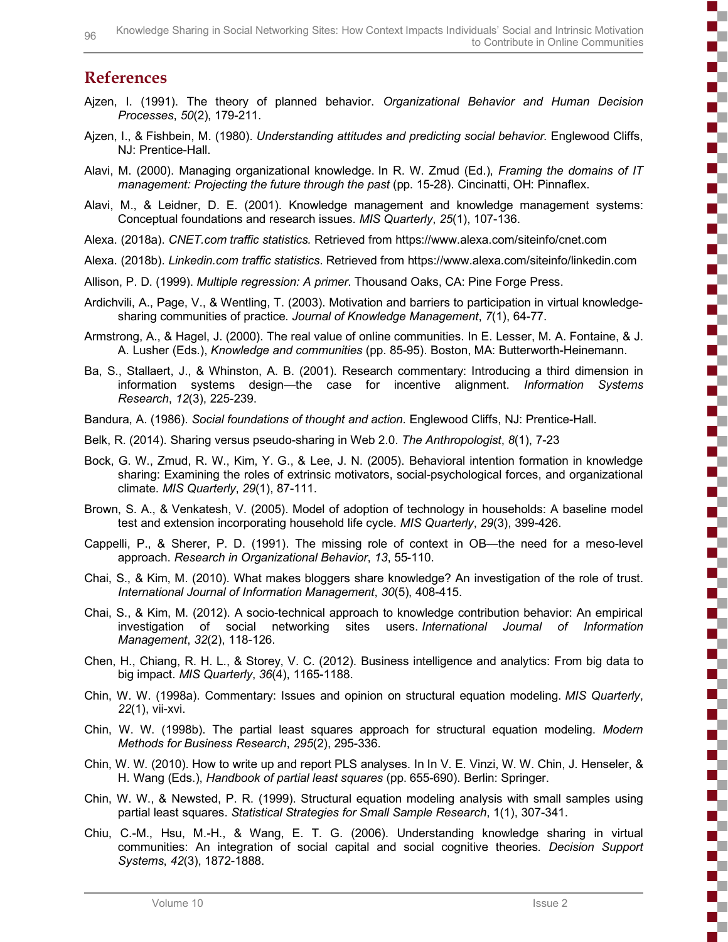## **References**

- Ajzen, I. (1991). The theory of planned behavior. *Organizational Behavior and Human Decision Processes*, *50*(2), 179-211.
- Ajzen, I., & Fishbein, M. (1980). *Understanding attitudes and predicting social behavior.* Englewood Cliffs, NJ: Prentice-Hall.
- Alavi, M. (2000). Managing organizational knowledge. In R. W. Zmud (Ed.), *Framing the domains of IT management: Projecting the future through the past (pp. 15-28). Cincinatti, OH: Pinnaflex.*
- Alavi, M., & Leidner, D. E. (2001). Knowledge management and knowledge management systems: Conceptual foundations and research issues. *MIS Quarterly*, *25*(1), 107-136.
- Alexa. (2018a). *CNET.com traffic statistics.* Retrieved from https://www.alexa.com/siteinfo/cnet.com
- Alexa. (2018b). *Linkedin.com traffic statistics*. Retrieved from https://www.alexa.com/siteinfo/linkedin.com
- Allison, P. D. (1999). *Multiple regression: A primer*. Thousand Oaks, CA: Pine Forge Press.
- Ardichvili, A., Page, V., & Wentling, T. (2003). Motivation and barriers to participation in virtual knowledgesharing communities of practice. *Journal of Knowledge Management*, *7*(1), 64-77.
- Armstrong, A., & Hagel, J. (2000). The real value of online communities. In E. Lesser, M. A. Fontaine, & J. A. Lusher (Eds.), *Knowledge and communities* (pp. 85-95). Boston, MA: Butterworth-Heinemann.
- Ba, S., Stallaert, J., & Whinston, A. B. (2001). Research commentary: Introducing a third dimension in information systems design—the case for incentive alignment. *Information Systems Research*, *12*(3), 225-239.
- Bandura, A. (1986). *Social foundations of thought and action*. Englewood Cliffs, NJ: Prentice-Hall.
- Belk, R. (2014). Sharing versus pseudo-sharing in Web 2.0. *The Anthropologist*, *8*(1), 7-23
- Bock, G. W., Zmud, R. W., Kim, Y. G., & Lee, J. N. (2005). Behavioral intention formation in knowledge sharing: Examining the roles of extrinsic motivators, social-psychological forces, and organizational climate. *MIS Quarterly*, *29*(1), 87-111.
- Brown, S. A., & Venkatesh, V. (2005). Model of adoption of technology in households: A baseline model test and extension incorporating household life cycle. *MIS Quarterly*, *29*(3), 399-426.
- Cappelli, P., & Sherer, P. D. (1991). The missing role of context in OB—the need for a meso-level approach. *Research in Organizational Behavior*, *13*, 55-110.
- Chai, S., & Kim, M. (2010). What makes bloggers share knowledge? An investigation of the role of trust. *International Journal of Information Management*, *30*(5), 408-415.
- Chai, S., & Kim, M. (2012). A socio-technical approach to knowledge contribution behavior: An empirical investigation of social networking sites users. *International Journal of Information Management*, *32*(2), 118-126.
- Chen, H., Chiang, R. H. L., & Storey, V. C. (2012). Business intelligence and analytics: From big data to big impact. *MIS Quarterly*, *36*(4), 1165-1188.
- Chin, W. W. (1998a). Commentary: Issues and opinion on structural equation modeling. *MIS Quarterly*, *22*(1), vii-xvi.
- Chin, W. W. (1998b). The partial least squares approach for structural equation modeling. *Modern Methods for Business Research*, *295*(2), 295-336.
- Chin, W. W. (2010). How to write up and report PLS analyses. In In V. E. Vinzi, W. W. Chin, J. Henseler, & H. Wang (Eds.), *Handbook of partial least squares* (pp. 655-690). Berlin: Springer.
- Chin, W. W., & Newsted, P. R. (1999). Structural equation modeling analysis with small samples using partial least squares. *Statistical Strategies for Small Sample Research*, 1(1), 307-341.
- Chiu, C.-M., Hsu, M.-H., & Wang, E. T. G. (2006). Understanding knowledge sharing in virtual communities: An integration of social capital and social cognitive theories*. Decision Support Systems*, *42*(3), 1872-1888.

**TILL**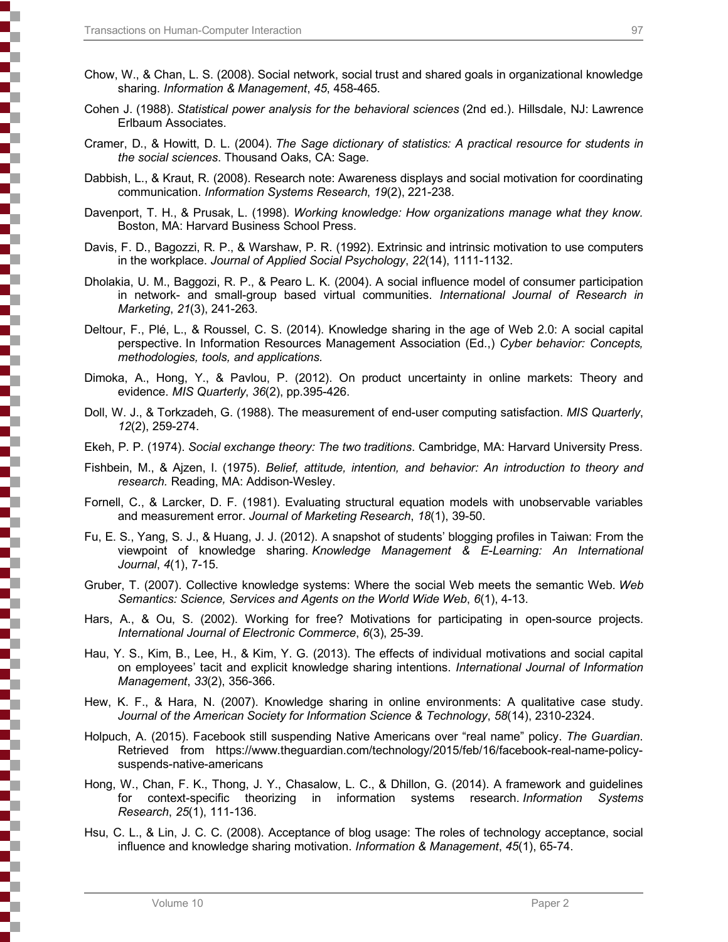- Chow, W., & Chan, L. S. (2008). Social network, social trust and shared goals in organizational knowledge sharing. *Information & Management*, *45*, 458-465.
- Cohen J. (1988). *Statistical power analysis for the behavioral sciences* (2nd ed.). Hillsdale, NJ: Lawrence Erlbaum Associates.
- Cramer, D., & Howitt, D. L. (2004). *The Sage dictionary of statistics: A practical resource for students in the social sciences*. Thousand Oaks, CA: Sage.
- Dabbish, L., & Kraut, R. (2008). Research note: Awareness displays and social motivation for coordinating communication. *Information Systems Research*, *19*(2), 221-238.
- Davenport, T. H., & Prusak, L. (1998). *Working knowledge: How organizations manage what they know.* Boston, MA: Harvard Business School Press.
- Davis, F. D., Bagozzi, R. P., & Warshaw, P. R. (1992). Extrinsic and intrinsic motivation to use computers in the workplace. *Journal of Applied Social Psychology*, *22*(14), 1111-1132.
- Dholakia, U. M., Baggozi, R. P., & Pearo L. K. (2004). A social influence model of consumer participation in network- and small-group based virtual communities. *International Journal of Research in Marketing*, *21*(3), 241-263.
- Deltour, F., Plé, L., & Roussel, C. S. (2014). Knowledge sharing in the age of Web 2.0: A social capital perspective. In Information Resources Management Association (Ed.,) *Cyber behavior: Concepts, methodologies, tools, and applications.*
- Dimoka, A., Hong, Y., & Pavlou, P. (2012). On product uncertainty in online markets: Theory and evidence. *MIS Quarterly*, *36*(2), pp.395-426.
- Doll, W. J., & Torkzadeh, G. (1988). The measurement of end-user computing satisfaction. *MIS Quarterly*, *12*(2), 259-274.
- Ekeh, P. P. (1974). *Social exchange theory: The two traditions*. Cambridge, MA: Harvard University Press.
- Fishbein, M., & Ajzen, I. (1975). *Belief, attitude, intention, and behavior: An introduction to theory and research.* Reading, MA: Addison-Wesley.
- Fornell, C., & Larcker, D. F. (1981). Evaluating structural equation models with unobservable variables and measurement error. *Journal of Marketing Research*, *18*(1), 39-50.
- Fu, E. S., Yang, S. J., & Huang, J. J. (2012). A snapshot of students' blogging profiles in Taiwan: From the viewpoint of knowledge sharing. *Knowledge Management & E-Learning: An International Journal*, *4*(1), 7-15.
- Gruber, T. (2007). Collective knowledge systems: Where the social Web meets the semantic Web. *Web Semantics: Science, Services and Agents on the World Wide Web*, *6*(1), 4-13.
- Hars, A., & Ou, S. (2002). Working for free? Motivations for participating in open-source projects. *International Journal of Electronic Commerce*, *6*(3), 25-39.
- Hau, Y. S., Kim, B., Lee, H., & Kim, Y. G. (2013). The effects of individual motivations and social capital on employees' tacit and explicit knowledge sharing intentions. *International Journal of Information Management*, *33*(2), 356-366.
- Hew, K. F., & Hara, N. (2007). Knowledge sharing in online environments: A qualitative case study. *Journal of the American Society for Information Science & Technology*, *58*(14), 2310-2324.
- Holpuch, A. (2015). Facebook still suspending Native Americans over "real name" policy. *The Guardian*. Retrieved from https://www.theguardian.com/technology/2015/feb/16/facebook-real-name-policysuspends-native-americans
- Hong, W., Chan, F. K., Thong, J. Y., Chasalow, L. C., & Dhillon, G. (2014). A framework and guidelines for context-specific theorizing in information systems research. *Information Systems Research*, *25*(1), 111-136.
- Hsu, C. L., & Lin, J. C. C. (2008). Acceptance of blog usage: The roles of technology acceptance, social influence and knowledge sharing motivation. *Information & Management*, *45*(1), 65-74.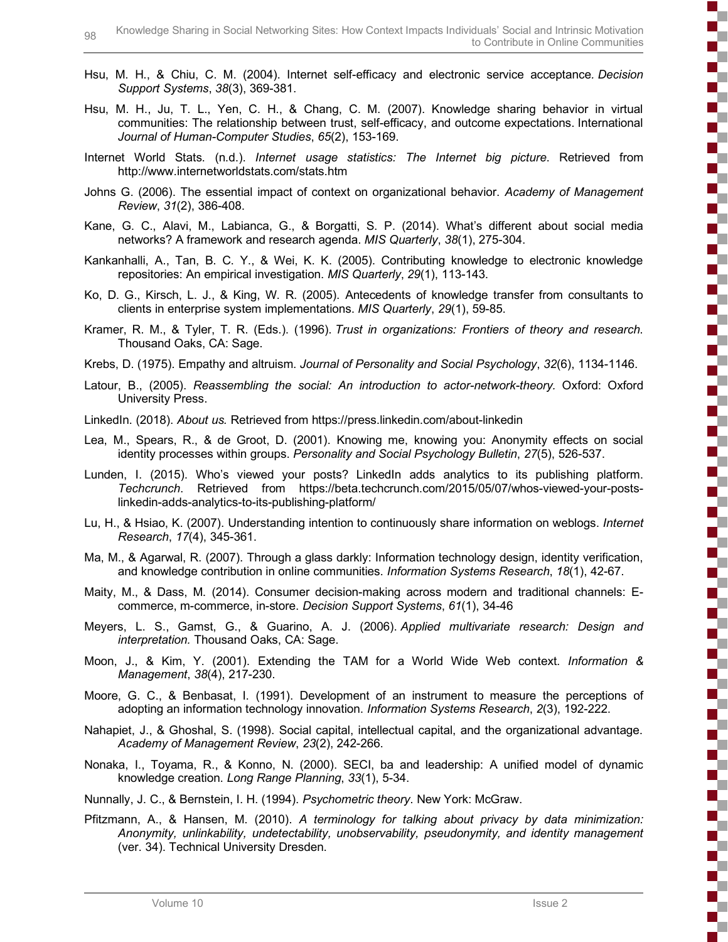- Hsu, M. H., & Chiu, C. M. (2004). Internet self-efficacy and electronic service acceptance*. Decision Support Systems*, *38*(3), 369-381.
- Hsu, M. H., Ju, T. L., Yen, C. H., & Chang, C. M. (2007). Knowledge sharing behavior in virtual communities: The relationship between trust, self-efficacy, and outcome expectations. International *Journal of Human-Computer Studies*, *65*(2), 153-169.
- Internet World Stats. (n.d.). *Internet usage statistics: The Internet big picture*. Retrieved from http://www.internetworldstats.com/stats.htm
- Johns G. (2006). The essential impact of context on organizational behavior. *Academy of Management Review*, *31*(2), 386-408.
- Kane, G. C., Alavi, M., Labianca, G., & Borgatti, S. P. (2014). What's different about social media networks? A framework and research agenda. *MIS Quarterly*, *38*(1), 275-304.
- Kankanhalli, A., Tan, B. C. Y., & Wei, K. K. (2005). Contributing knowledge to electronic knowledge repositories: An empirical investigation. *MIS Quarterly*, *29*(1), 113-143.
- Ko, D. G., Kirsch, L. J., & King, W. R. (2005). Antecedents of knowledge transfer from consultants to clients in enterprise system implementations. *MIS Quarterly*, *29*(1), 59-85.
- Kramer, R. M., & Tyler, T. R. (Eds.). (1996). *Trust in organizations: Frontiers of theory and research*. Thousand Oaks, CA: Sage.
- Krebs, D. (1975). Empathy and altruism. *Journal of Personality and Social Psychology*, *32*(6), 1134-1146.
- Latour, B., (2005). *Reassembling the social: An introduction to actor-network-theory.* Oxford: Oxford University Press.
- LinkedIn. (2018). *About us.* Retrieved from https://press.linkedin.com/about-linkedin
- Lea, M., Spears, R., & de Groot, D. (2001). Knowing me, knowing you: Anonymity effects on social identity processes within groups. *Personality and Social Psychology Bulletin*, *27*(5), 526-537.
- Lunden, I. (2015). Who's viewed your posts? LinkedIn adds analytics to its publishing platform. *Techcrunch*. Retrieved from https://beta.techcrunch.com/2015/05/07/whos-viewed-your-postslinkedin-adds-analytics-to-its-publishing-platform/
- Lu, H., & Hsiao, K. (2007). Understanding intention to continuously share information on weblogs. *Internet Research*, *17*(4), 345-361.
- Ma, M., & Agarwal, R. (2007). Through a glass darkly: Information technology design, identity verification, and knowledge contribution in online communities. *Information Systems Research*, *18*(1), 42-67.
- Maity, M., & Dass, M. (2014). Consumer decision-making across modern and traditional channels: Ecommerce, m-commerce, in-store. *Decision Support Systems*, *61*(1), 34-46
- Meyers, L. S., Gamst, G., & Guarino, A. J. (2006). *Applied multivariate research: Design and interpretation.* Thousand Oaks, CA: Sage.
- Moon, J., & Kim, Y. (2001). Extending the TAM for a World Wide Web context. *Information & Management*, *38*(4), 217-230.
- Moore, G. C., & Benbasat, I. (1991). Development of an instrument to measure the perceptions of adopting an information technology innovation. *Information Systems Research*, *2*(3), 192-222.
- Nahapiet, J., & Ghoshal, S. (1998). Social capital, intellectual capital, and the organizational advantage. *Academy of Management Review*, *23*(2), 242-266.
- Nonaka, I., Toyama, R., & Konno, N. (2000). SECI, ba and leadership: A unified model of dynamic knowledge creation. *Long Range Planning*, *33*(1), 5-34.
- Nunnally, J. C., & Bernstein, I. H. (1994). *Psychometric theory*. New York: McGraw.
- Pfitzmann, A., & Hansen, M. (2010). *A terminology for talking about privacy by data minimization: Anonymity, unlinkability, undetectability, unobservability, pseudonymity, and identity management* (ver. 34). Technical University Dresden.

M.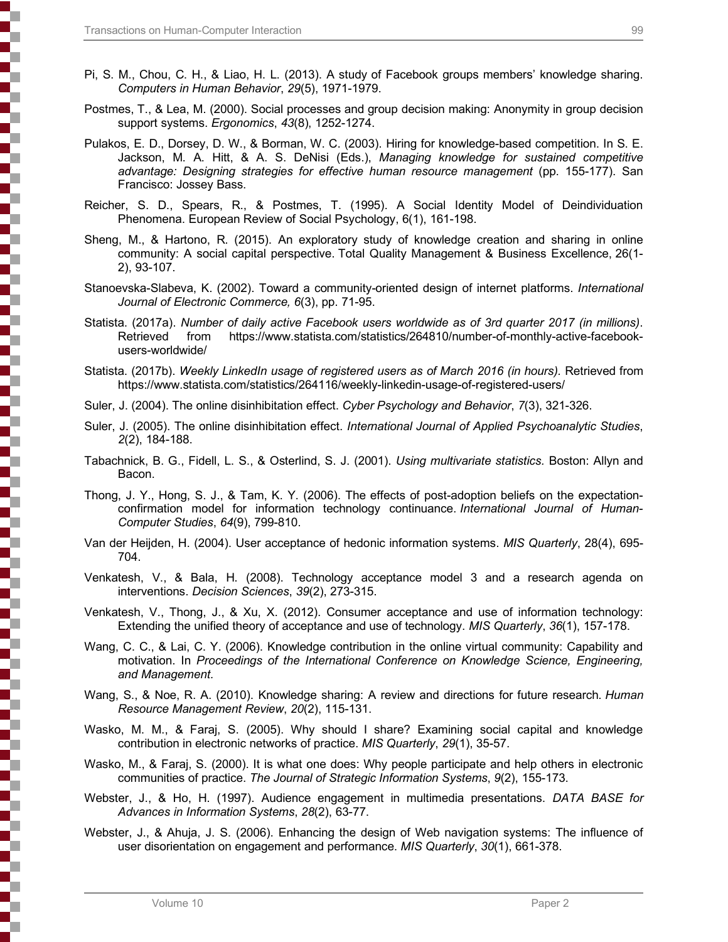- Pi, S. M., Chou, C. H., & Liao, H. L. (2013). A study of Facebook groups members' knowledge sharing. *Computers in Human Behavior*, *29*(5), 1971-1979.
- Postmes, T., & Lea, M. (2000). Social processes and group decision making: Anonymity in group decision support systems. *Ergonomics*, *43*(8), 1252-1274.
- Pulakos, E. D., Dorsey, D. W., & Borman, W. C. (2003). Hiring for knowledge-based competition. In S. E. Jackson, M. A. Hitt, & A. S. DeNisi (Eds.), *Managing knowledge for sustained competitive advantage: Designing strategies for effective human resource management* (pp. 155-177). San Francisco: Jossey Bass.
- Reicher, S. D., Spears, R., & Postmes, T. (1995). A Social Identity Model of Deindividuation Phenomena. European Review of Social Psychology, 6(1), 161-198.
- Sheng, M., & Hartono, R. (2015). An exploratory study of knowledge creation and sharing in online community: A social capital perspective. Total Quality Management & Business Excellence, 26(1- 2), 93-107.
- Stanoevska-Slabeva, K. (2002). Toward a community-oriented design of internet platforms. *International Journal of Electronic Commerce, 6*(3), pp. 71-95.
- Statista. (2017a). *Number of daily active Facebook users worldwide as of 3rd quarter 2017 (in millions)*. Retrieved from https://www.statista.com/statistics/264810/number-of-monthly-active-facebookusers-worldwide/
- Statista. (2017b). *Weekly LinkedIn usage of registered users as of March 2016 (in hours).* Retrieved from https://www.statista.com/statistics/264116/weekly-linkedin-usage-of-registered-users/
- Suler, J. (2004). The online disinhibitation effect. *Cyber Psychology and Behavior*, *7*(3), 321-326.
- Suler, J. (2005). The online disinhibitation effect. *International Journal of Applied Psychoanalytic Studies*, *2*(2), 184-188.
- Tabachnick, B. G., Fidell, L. S., & Osterlind, S. J. (2001). *Using multivariate statistics.* Boston: Allyn and Bacon.
- Thong, J. Y., Hong, S. J., & Tam, K. Y. (2006). The effects of post-adoption beliefs on the expectationconfirmation model for information technology continuance. *International Journal of Human-Computer Studies*, *64*(9), 799-810.
- Van der Heijden, H. (2004). User acceptance of hedonic information systems. *MIS Quarterly*, 28(4), 695- 704.
- Venkatesh, V., & Bala, H. (2008). Technology acceptance model 3 and a research agenda on interventions. *Decision Sciences*, *39*(2), 273-315.
- Venkatesh, V., Thong, J., & Xu, X. (2012). Consumer acceptance and use of information technology: Extending the unified theory of acceptance and use of technology. *MIS Quarterly*, *36*(1), 157-178.
- Wang, C. C., & Lai, C. Y. (2006). Knowledge contribution in the online virtual community: Capability and motivation. In *Proceedings of the International Conference on Knowledge Science, Engineering, and Management.*
- Wang, S., & Noe, R. A. (2010). Knowledge sharing: A review and directions for future research. *Human Resource Management Review*, *20*(2), 115-131.
- Wasko, M. M., & Faraj, S. (2005). Why should I share? Examining social capital and knowledge contribution in electronic networks of practice. *MIS Quarterly*, *29*(1), 35-57.
- Wasko, M., & Faraj, S. (2000). It is what one does: Why people participate and help others in electronic communities of practice. *The Journal of Strategic Information Systems*, *9*(2), 155-173.
- Webster, J., & Ho, H. (1997). Audience engagement in multimedia presentations. *DATA BASE for Advances in Information Systems*, *28*(2), 63-77.
- Webster, J., & Ahuja, J. S. (2006). Enhancing the design of Web navigation systems: The influence of user disorientation on engagement and performance. *MIS Quarterly*, *30*(1), 661-378.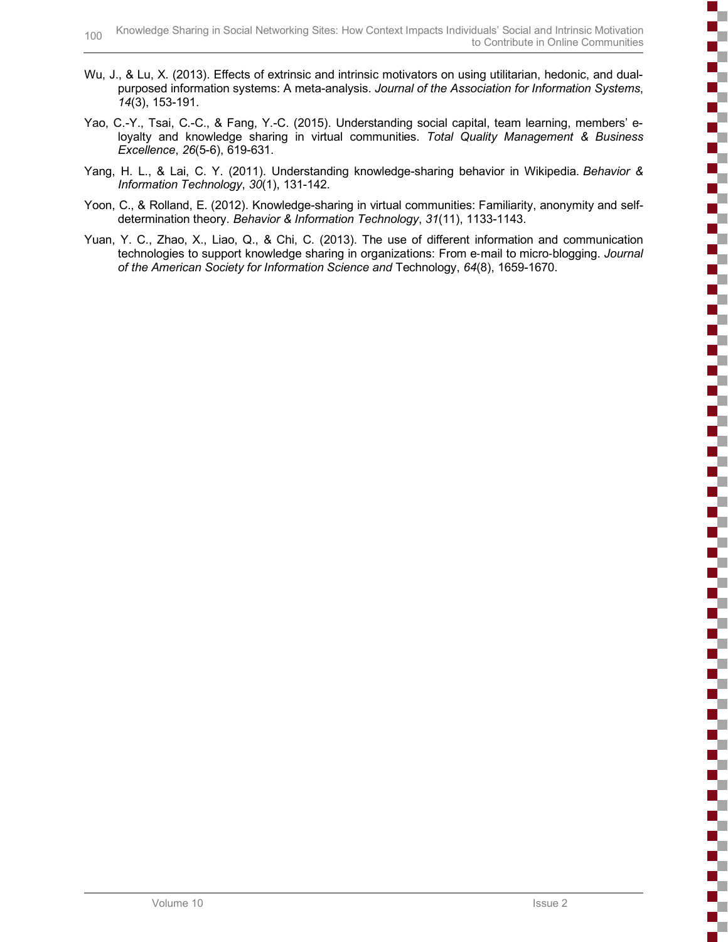- Wu, J., & Lu, X. (2013). Effects of extrinsic and intrinsic motivators on using utilitarian, hedonic, and dualpurposed information systems: A meta-analysis. *Journal of the Association for Information Systems*, *14*(3), 153-191.
- Yao, C.-Y., Tsai, C.-C., & Fang, Y.-C. (2015). Understanding social capital, team learning, members' eloyalty and knowledge sharing in virtual communities. *Total Quality Management & Business Excellence*, *26*(5-6), 619-631.
- Yang, H. L., & Lai, C. Y. (2011). Understanding knowledge-sharing behavior in Wikipedia. *Behavior & Information Technology*, *30*(1), 131-142.
- Yoon, C., & Rolland, E. (2012). Knowledge-sharing in virtual communities: Familiarity, anonymity and selfdetermination theory. *Behavior & Information Technology*, *31*(11), 1133-1143.
- Yuan, Y. C., Zhao, X., Liao, Q., & Chi, C. (2013). The use of different information and communication technologies to support knowledge sharing in organizations: From e-mail to micro-blogging. *Journal of the American Society for Information Science and* Technology, *64*(8), 1659-1670.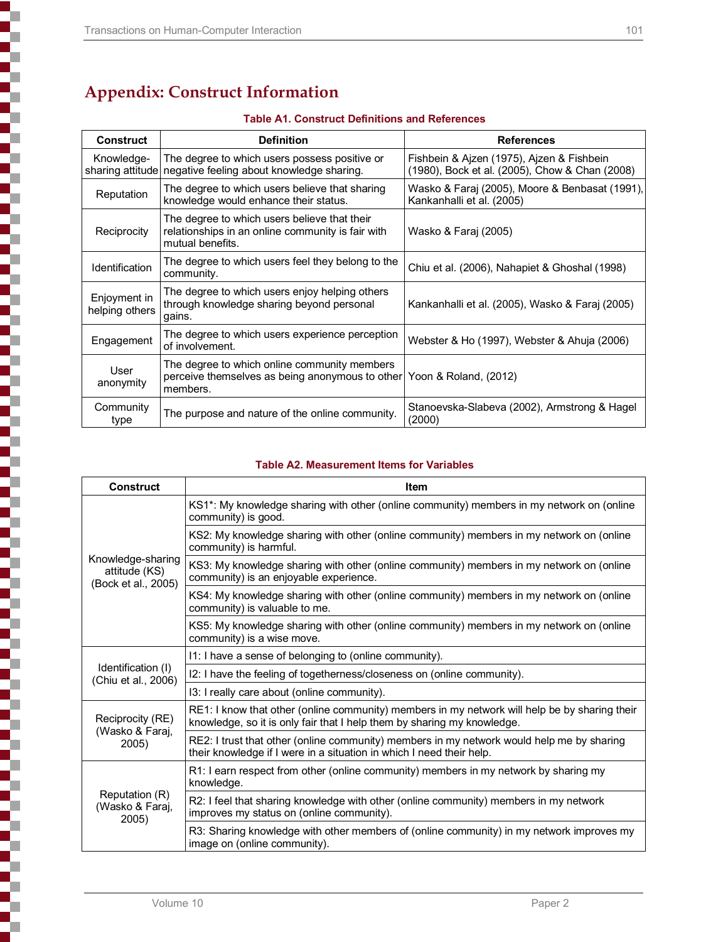## **Appendix: Construct Information**

| <b>Construct</b>               | <b>Definition</b>                                                                                                     | <b>References</b>                                                                           |
|--------------------------------|-----------------------------------------------------------------------------------------------------------------------|---------------------------------------------------------------------------------------------|
| Knowledge-<br>sharing attitude | The degree to which users possess positive or<br>negative feeling about knowledge sharing.                            | Fishbein & Ajzen (1975), Ajzen & Fishbein<br>(1980), Bock et al. (2005), Chow & Chan (2008) |
| Reputation                     | The degree to which users believe that sharing<br>knowledge would enhance their status.                               | Wasko & Faraj (2005), Moore & Benbasat (1991),<br>Kankanhalli et al. (2005)                 |
| Reciprocity                    | The degree to which users believe that their<br>relationships in an online community is fair with<br>mutual benefits. | Wasko & Faraj (2005)                                                                        |
| Identification                 | The degree to which users feel they belong to the<br>community.                                                       | Chiu et al. (2006), Nahapiet & Ghoshal (1998)                                               |
| Enjoyment in<br>helping others | The degree to which users enjoy helping others<br>through knowledge sharing beyond personal<br>gains.                 | Kankanhalli et al. (2005), Wasko & Faraj (2005)                                             |
| Engagement                     | The degree to which users experience perception<br>of involvement.                                                    | Webster & Ho (1997), Webster & Ahuja (2006)                                                 |
| User<br>anonymity              | The degree to which online community members<br>perceive themselves as being anonymous to other<br>members.           | Yoon & Roland, (2012)                                                                       |
| Community<br>type              | The purpose and nature of the online community.                                                                       | Stanoevska-Slabeva (2002), Armstrong & Hagel<br>(2000)                                      |

### **Table A1. Construct Definitions and References**

#### **Table A2. Measurement Items for Variables**

| Construct                                                 | <b>Item</b>                                                                                                                                                              |
|-----------------------------------------------------------|--------------------------------------------------------------------------------------------------------------------------------------------------------------------------|
|                                                           | KS1*: My knowledge sharing with other (online community) members in my network on (online<br>community) is good.                                                         |
|                                                           | KS2: My knowledge sharing with other (online community) members in my network on (online<br>community) is harmful.                                                       |
| Knowledge-sharing<br>attitude (KS)<br>(Bock et al., 2005) | KS3: My knowledge sharing with other (online community) members in my network on (online<br>community) is an enjoyable experience.                                       |
|                                                           | KS4: My knowledge sharing with other (online community) members in my network on (online<br>community) is valuable to me.                                                |
|                                                           | KS5: My knowledge sharing with other (online community) members in my network on (online<br>community) is a wise move.                                                   |
|                                                           | I1: I have a sense of belonging to (online community).                                                                                                                   |
| Identification (I)<br>(Chiu et al., 2006)                 | I2: I have the feeling of togetherness/closeness on (online community).                                                                                                  |
|                                                           | 13: I really care about (online community).                                                                                                                              |
| Reciprocity (RE)                                          | RE1: I know that other (online community) members in my network will help be by sharing their<br>knowledge, so it is only fair that I help them by sharing my knowledge. |
| (Wasko & Faraj,<br>2005)                                  | RE2: I trust that other (online community) members in my network would help me by sharing<br>their knowledge if I were in a situation in which I need their help.        |
|                                                           | R1: I earn respect from other (online community) members in my network by sharing my<br>knowledge.                                                                       |
| Reputation (R)<br>(Wasko & Faraj,<br>2005)                | R2: I feel that sharing knowledge with other (online community) members in my network<br>improves my status on (online community).                                       |
|                                                           | R3: Sharing knowledge with other members of (online community) in my network improves my<br>image on (online community).                                                 |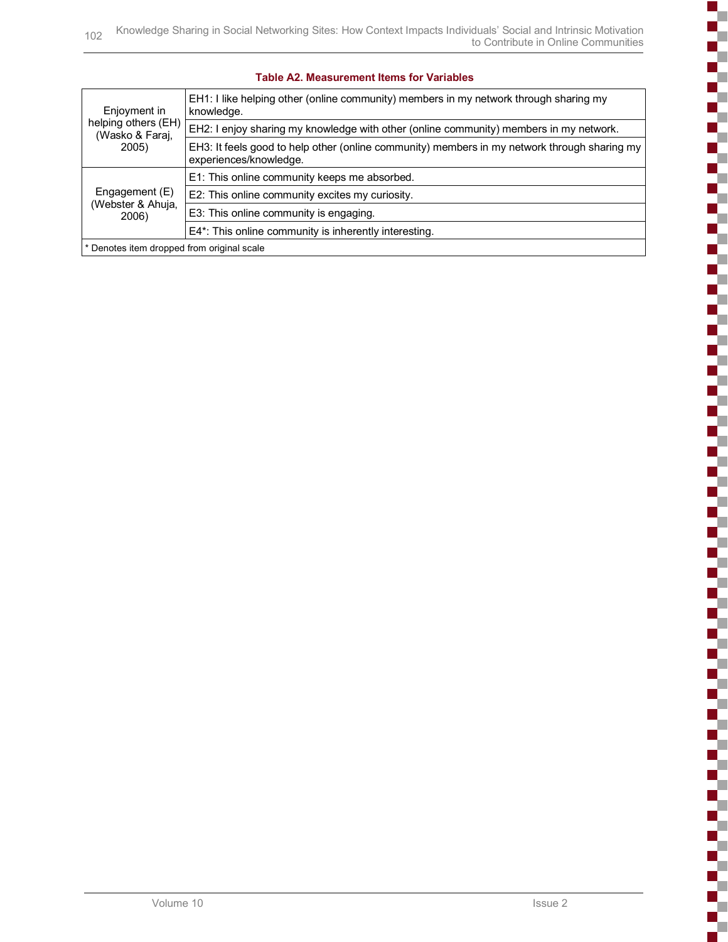| Enjoyment in                               | EH1: I like helping other (online community) members in my network through sharing my<br>knowledge.                    |
|--------------------------------------------|------------------------------------------------------------------------------------------------------------------------|
| helping others (EH)<br>(Wasko & Faraj,     | EH2: I enjoy sharing my knowledge with other (online community) members in my network.                                 |
| 2005)                                      | EH3: It feels good to help other (online community) members in my network through sharing my<br>experiences/knowledge. |
|                                            | E1: This online community keeps me absorbed.                                                                           |
| Engagement (E)                             | E2: This online community excites my curiosity.                                                                        |
| (Webster & Ahuja,<br>2006)                 | E3: This online community is engaging.                                                                                 |
|                                            | E4*: This online community is inherently interesting.                                                                  |
| * Denotes item dropped from original scale |                                                                                                                        |

#### **Table A2. Measurement Items for Variables**

 $\mathbb{Z}$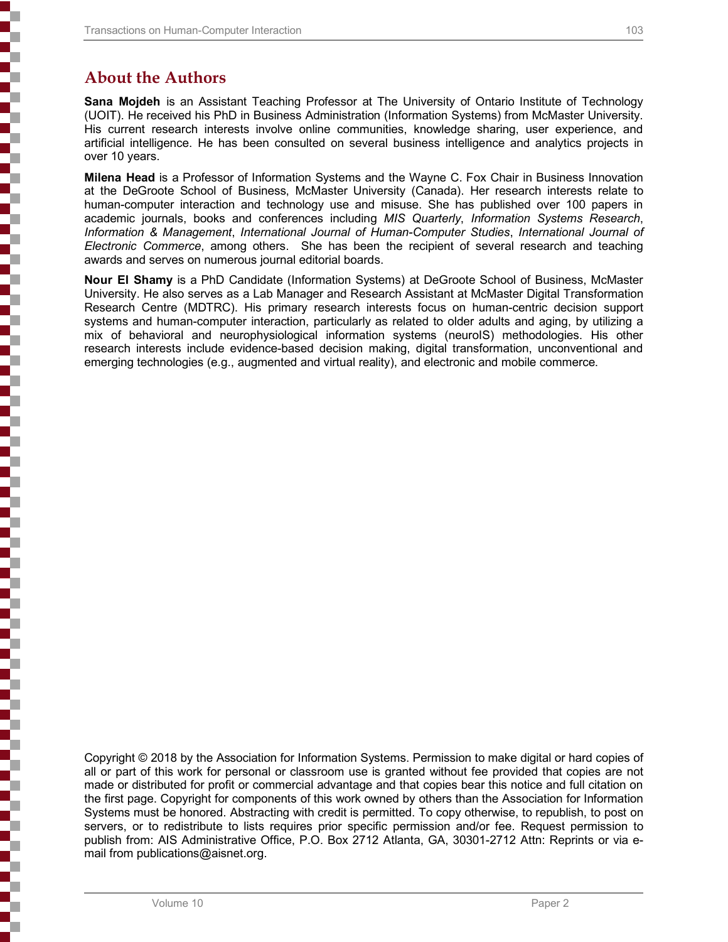## **About the Authors**

**Sana Mojdeh** is an Assistant Teaching Professor at The University of Ontario Institute of Technology (UOIT). He received his PhD in Business Administration (Information Systems) from McMaster University. His current research interests involve online communities, knowledge sharing, user experience, and artificial intelligence. He has been consulted on several business intelligence and analytics projects in over 10 years.

**Milena Head** is a Professor of Information Systems and the Wayne C. Fox Chair in Business Innovation at the DeGroote School of Business, McMaster University (Canada). Her research interests relate to human-computer interaction and technology use and misuse. She has published over 100 papers in academic journals, books and conferences including *MIS Quarterly*, *Information Systems Research*, *Information & Management*, *International Journal of Human-Computer Studies*, *International Journal of Electronic Commerce*, among others. She has been the recipient of several research and teaching awards and serves on numerous journal editorial boards.

**Nour El Shamy** is a PhD Candidate (Information Systems) at DeGroote School of Business, McMaster University. He also serves as a Lab Manager and Research Assistant at McMaster Digital Transformation Research Centre (MDTRC). His primary research interests focus on human-centric decision support systems and human-computer interaction, particularly as related to older adults and aging, by utilizing a mix of behavioral and neurophysiological information systems (neuroIS) methodologies. His other research interests include evidence-based decision making, digital transformation, unconventional and emerging technologies (e.g., augmented and virtual reality), and electronic and mobile commerce.

Copyright © 2018 by the Association for Information Systems. Permission to make digital or hard copies of all or part of this work for personal or classroom use is granted without fee provided that copies are not made or distributed for profit or commercial advantage and that copies bear this notice and full citation on the first page. Copyright for components of this work owned by others than the Association for Information Systems must be honored. Abstracting with credit is permitted. To copy otherwise, to republish, to post on servers, or to redistribute to lists requires prior specific permission and/or fee. Request permission to publish from: AIS Administrative Office, P.O. Box 2712 Atlanta, GA, 30301-2712 Attn: Reprints or via email from publications@aisnet.org.